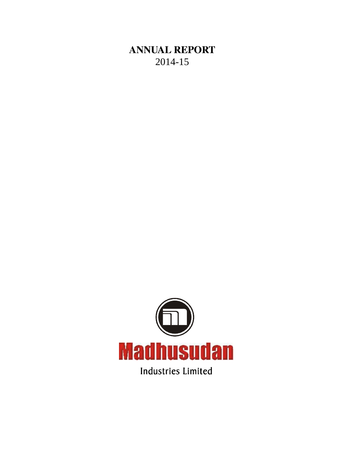# **ANNUAL REPORT 2014-15**

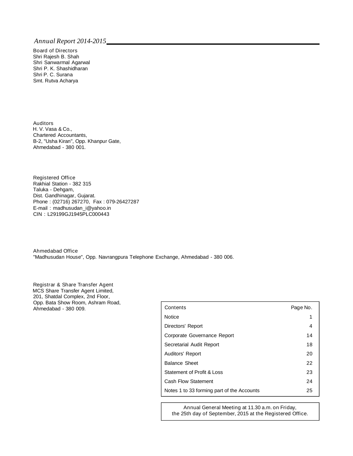## **Board of Directors**

Shri Rajesh B. Shah Shri Sanwarmal Agarwal Shri P. K. Shashidharan Shri P. C. Surana Smt. Rutva Acharya

## **Auditors**

H. V. Vasa & Co., Chartered Accountants, B-2, "Usha Kiran", Opp. Khanpur Gate, Ahmedabad - 380 001.

#### **Registered Office**

Rakhial Station - 382 315 Taluka - Dehgam, Dist. Gandhinagar, Gujarat. Phone : (02716) 267270, Fax : 079-26427287 E-mail : madhusudan\_i@yahoo.in CIN : L29199GJ1945PLC000443

#### **Ahmedabad Office**

"Madhusudan House", Opp. Navrangpura Telephone Exchange, Ahmedabad - 380 006.

## **Registrar & Share Transfer Agent**

MCS Share Transfer Agent Limited, 201, Shatdal Complex, 2nd Floor, Opp. Bata Show Room, Ashram Road, Ahmedabad - 380 009.

| <b>Contents</b>                            | Page No. |
|--------------------------------------------|----------|
| <b>Notice</b>                              | 1        |
| Directors' Report                          | 4        |
| Corporate Governance Report                | 14       |
| Secretarial Audit Report                   | 18       |
| Auditors' Report                           | 20       |
| <b>Balance Sheet</b>                       | 22       |
| Statement of Profit & Loss                 | 23       |
| <b>Cash Flow Statement</b>                 | 24       |
| Notes 1 to 33 forming part of the Accounts | 25       |

**Annual General Meeting at 11.30 a.m. on Friday, the 25th day of September, 2015 at the Registered Office.**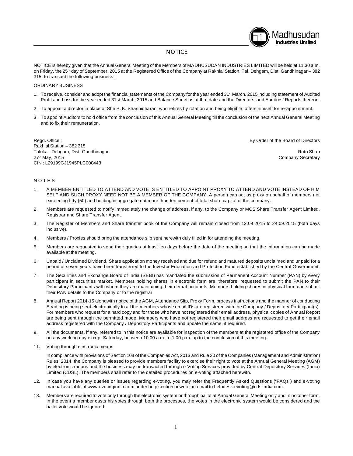# Madhusudan **Industries Limited**

# **NOTICE**

NOTICE is hereby given that the Annual General Meeting of the Members of **MADHUSUDAN INDUSTRIES LIMITED** will be held at 11.30 a.m. on Friday, the 25<sup>th</sup> day of September, 2015 at the Registered Office of the Company at Rakhial Station, Tal. Dehgam, Dist. Gandhinagar – 382 315, to transact the following business :

### **ORDINARY BUSINESS**

- 1. To receive, consider and adopt the financial statements of the Company for the year ended 31<sup>st</sup> March, 2015 including statement of Audited Profit and Loss for the year ended 31st March, 2015 and Balance Sheet as at that date and the Directors' and Auditors' Reports thereon.
- 2. To appoint a director in place of Shri P. K. Shashidharan, who retires by rotation and being eligible, offers himself for re-appointment.
- 3. To appoint Auditors to hold office from the conclusion of this Annual General Meeting till the conclusion of the next Annual General Meeting and to fix their remuneration.

Regd. Office : **By Order of the Board of Directors By Order of the Board of Directors** 

Rakhial Station – 382 315 Taluka - Dehgam, Dist. Gandhinagar. Rutu Shah et al. 2009 ay kalendari shah et al. 2009 ay kalendari shah et al 27<sup>th</sup> May, 2015 **Company Secretary** 27<sup>th</sup> May, 2015 CIN : L29199GJ1945PLC000443

## **N O T E S**

- 1. A MEMBER ENTITLED TO ATTEND AND VOTE IS ENTITLED TO APPOINT PROXY TO ATTEND AND VOTE INSTEAD OF HIM SELF AND SUCH PROXY NEED NOT BE A MEMBER OF THE COMPANY. A person can act as proxy on behalf of members not exceeding fifty (50) and holding in aggregate not more than ten percent of total share capital of the company.
- 2. Members are requested to notify immediately the change of address, if any, to the Company or MCS Share Transfer Agent Limited, Registrar and Share Transfer Agent.
- 3. The Register of Members and Share transfer book of the Company will remain closed from 12.09.2015 to 24.09.2015 (both days inclusive).
- 4. Members / Proxies should bring the attendance slip sent herewith duly filled in for attending the meeting.
- 5. Members are requested to send their queries at least ten days before the date of the meeting so that the information can be made available at the meeting.
- 6. Unpaid / Unclaimed Dividend, Share application money received and due for refund and matured deposits unclaimed and unpaid for a period of seven years have been transferred to the Investor Education and Protection Fund established by the Central Government.
- 7. The Securities and Exchange Board of India (SEBI) has mandated the submission of Permanent Account Number (PAN) by every participant in securities market. Members holding shares in electronic form are, therefore, requested to submit the PAN to their Depository Participants with whom they are maintaining their demat accounts. Members holding shares in physical form can submit their PAN details to the Company or to the registrar.
- 8. Annual Report 2014-15 alongwith notice of the AGM, Attendance Slip, Proxy Form, process instructions and the manner of conducting E-voting is being sent electronically to all the members whose email IDs are registered with the Company / Depository Participant(s). For members who request for a hard copy and for those who have not registered their email address, physical copies of Annual Report are being sent through the permitted mode. Members who have not registered their email address are requested to get their email address registered with the Company / Depository Participants and update the same, if required.
- 9. All the documents, if any, referred to in this notice are available for inspection of the members at the registered office of the Company on any working day except Saturday, between 10:00 a.m. to 1:00 p.m. up to the conclusion of this meeting.
- 11. Voting through electronic means

In compliance with provisions of Section 108 of the Companies Act, 2013 and Rule 20 of the Companies (Management and Administration) Rules, 2014, the Company is pleased to provide members facility to exercise their right to vote at the Annual General Meeting (AGM) by electronic means and the business may be transacted through e-Voting Services provided by Central Depository Services (India) Limited (CDSL). The members shall refer to the detailed procedures on e-voting attached herewith.

- 12. In case you have any queries or issues regarding e-voting, you may refer the Frequently Asked Questions ("FAQs") and e-voting manual available at www.evotingindia.com under help section or write an email to helpdesk.evoting@cdslindia.com.
- 13. Members are required to vote only through the electronic system or through ballot at Annual General Meeting only and in no other form. In the event a member casts his votes through both the processes, the votes in the electronic system would be considered and the ballot vote would be ignored.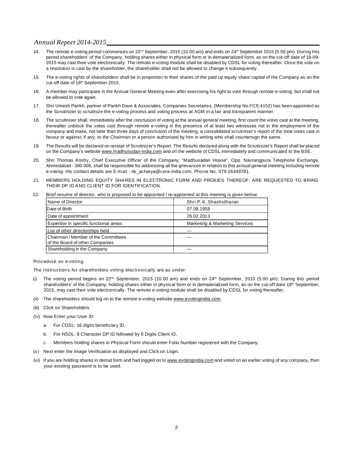- 14. The remote e-voting period commences on 22<sup>nd</sup> September, 2015 (10.00 am) and ends on 24<sup>th</sup> September 2015 (5.00 pm). During this period shareholders' of the Company, holding shares either in physical form or in dematerialized form, as on the cut-off date of 18-09- 2015 may cast their vote electronically. The remote e-voting module shall be disabled by CDSL for voting thereafter. Once the vote on a resolution is cast by the shareholder, the shareholder shall not be allowed to change it subsequently.
- 15. The e-voting rights of shareholders shall be in proportion to their shares of the paid up equity share capital of the Company as on the cut-off date of 18<sup>th</sup> September 2015.
- 16. A member may participate in the Annual General Meeting even after exercising his right to vote through remote e-voting, but shall not be allowed to vote again.
- 17. Shri Umesh Parikh, partner of Parikh Dave & Associates, Companies Secretaries, (Membership No.FCS:4152) has been appointed as the Scrutinizer to scrutinize the e-voting process and voting process at AGM in a fair and transparent manner.
- 18. The scrutiniser shall, immediately after the conclusion of voting at the annual general meeting, first count the votes cast at the meeting, thereafter unblock the votes cast through remote e-voting in the presence of at least two witnesses not in the employment of the company and make, not later than three days of conclusion of the meeting, a consolidated scrutiniser's report of the total votes cast in favour or against, if any, to the Chairman or a person authorised by him in writing who shall countersign the same.
- 19. The Results will be declared on receipt of Scrutinizer's Report. The Results declared along with the Scrutinizer's Report shall be placed on the Company's website www.madhusudan-india.com and on the website of CDSL immediately and communicated to the BSE.
- 20. Shri Thomas Koshy, Chief Executive Officer of the Company, "Madhusadan House", Opp. Navrangpura Telephone Exchange, Ahmedabad - 380 006, shall be responsible for addressing all the grievances in relation to this annual general meeting including remote e-voting. His contact details are E-mail : nk\_acharya@cera-india.com, Phone No. 079-26449781.
- 21. **MEMBERS HOLDING EQUITY SHARES IN ELECTRONIC FORM AND PROXIES THEREOF, ARE REQUESTED TO BRING THEIR DP ID AND CLIENT ID FOR IDENTIFICATION.**
- 22. Brief resume of director, who is proposed to be appointed / re-appointed at this meeting is given below:

| Name of Director                                                       | Shri P. K. Shashidharan        |
|------------------------------------------------------------------------|--------------------------------|
| Date of Birth                                                          | 07.08.1958                     |
| Date of appointment                                                    | 26.02.2013                     |
| Expertise in specific functional areas                                 | Marketing & Marketing Services |
| List of other directorships held                                       |                                |
| Chairman / Member of the Committees<br>of the Board of other Companies |                                |
| Shareholding in the Company                                            |                                |

#### **Procedure on e-voting**

#### **The instructions for shareholders voting electronically are as under:**

- (i) The voting period begins on  $22^{nd}$  September, 2015 (10.00 am) and ends on  $24^{th}$  September, 2015 (5.00 pm). During this period shareholders' of the Company, holding shares either in physical form or in dematerialized form, as on the cut-off date 18<sup>th</sup> September, 2015, may cast their vote electronically. The remote e-voting module shall be disabled by CDSL for voting thereafter.
- (ii) The shareholders should log on to the remote e-voting website www.evotingindia.com.
- (iii) Click on Shareholders.
- (iv) Now Enter your User ID
	- a. For CDSL: 16 digits beneficiary ID,
	- b. For NSDL: 8 Character DP ID followed by 8 Digits Client ID,
	- c. Members holding shares in Physical Form should enter Folio Number registered with the Company.
- (v) Next enter the Image Verification as displayed and Click on Login.
- (vi) If you are holding shares in demat form and had logged on to www.evotingindia.com and voted on an earlier voting of any company, then your existing password is to be used.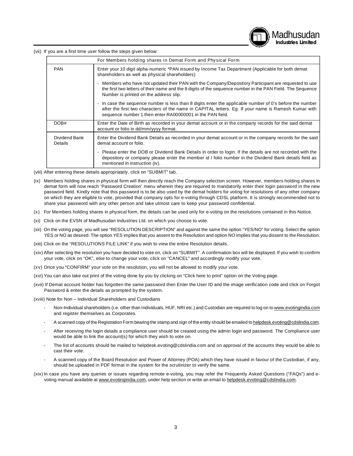(vii) If you are a first time user follow the steps given below:

|                                 | For Members holding shares in Demat Form and Physical Form                                                                                                                                                                                                                    |
|---------------------------------|-------------------------------------------------------------------------------------------------------------------------------------------------------------------------------------------------------------------------------------------------------------------------------|
| <b>PAN</b>                      | Enter your 10 digit alpha-numeric *PAN issued by Income Tax Department (Applicable for both demat<br>shareholders as well as physical shareholders)                                                                                                                           |
|                                 | Members who have not updated their PAN with the Company/Depository Participant are requested to use<br>$\blacksquare$<br>the first two letters of their name and the 8 digits of the sequence number in the PAN Field. The Sequence<br>Number is printed on the address slip. |
|                                 | - In case the sequence number is less than 8 digits enter the applicable number of 0's before the number<br>after the first two characters of the name in CAPITAL letters. Eg. If your name is Ramesh Kumar with<br>sequence number 1 then enter RA00000001 in the PAN field. |
| DOB#                            | Enter the Date of Birth as recorded in your demat account or in the company records for the said demat<br>account or folio in dd/mm/yyyy format.                                                                                                                              |
| Dividend Bank<br><b>Details</b> | Enter the Dividend Bank Details as recorded in your demat account or in the company records for the said<br>demat account or folio.                                                                                                                                           |
|                                 | Please enter the DOB or Dividend Bank Details in order to login. If the details are not recorded with the<br>depository or company please enter the member id / folio number in the Dividend Bank details field as<br>mentioned in instruction (iv).                          |

Madhusudan **Industries Limited**

(viii) After entering these details appropriately, click on "SUBMIT" tab.

- (ix) Members holding shares in physical form will then directly reach the Company selection screen. However, members holding shares in demat form will now reach 'Password Creation' menu wherein they are required to mandatorily enter their login password in the new password field. Kindly note that this password is to be also used by the demat holders for voting for resolutions of any other company on which they are eligible to vote, provided that company opts for e-voting through CDSL platform. It is strongly recommended not to share your password with any other person and take utmost care to keep your password confidential.
- (x) For Members holding shares in physical form, the details can be used only for e-voting on the resolutions contained in this Notice.
- (xi) Click on the EVSN of Madhusudan Industries Ltd. on which you choose to vote.
- (xii) On the voting page, you will see "RESOLUTION DESCRIPTION" and against the same the option "YES/NO" for voting. Select the option YES or NO as desired. The option YES implies that you assent to the Resolution and option NO implies that you dissent to the Resolution.
- (xiii) Click on the "RESOLUTIONS FILE LINK" if you wish to view the entire Resolution details.
- (xiv) After selecting the resolution you have decided to vote on, click on "SUBMIT". A confirmation box will be displayed. If you wish to confirm your vote, click on "OK", else to change your vote, click on "CANCEL" and accordingly modify your vote.
- (xv) Once you "CONFIRM" your vote on the resolution, you will not be allowed to modify your vote.
- (xvi) You can also take out print of the voting done by you by clicking on "Click here to print" option on the Voting page.
- (xvii) If Demat account holder has forgotten the same password then Enter the User ID and the image verification code and click on Forgot Password & enter the details as prompted by the system.

(xviii) Note for Non – Individual Shareholders and Custodians

- Non-Individual shareholders (i.e. other than Individuals, HUF, NRI etc.) and Custodian are required to log on to www.evotingindia.com and register themselves as Corporates.
- A scanned copy of the Registration Form bearing the stamp and sign of the entity should be emailed to helpdesk.evoting@cdslindia.com.
- After receiving the login details a compliance user should be created using the admin login and password. The Compliance user would be able to link the account(s) for which they wish to vote on.
- The list of accounts should be mailed to helpdesk.evoting@cdslindia.com and on approval of the accounts they would be able to cast their vote.
- A scanned copy of the Board Resolution and Power of Attorney (POA) which they have issued in favour of the Custodian, if any, should be uploaded in PDF format in the system for the scrutinizer to verify the same.
- (xix) In case you have any queries or issues regarding remote e-voting, you may refer the Frequently Asked Questions ("FAQs") and evoting manual available at www.evotingindia.com, under help section or write an email to helpdesk.evoting@cdslindia.com.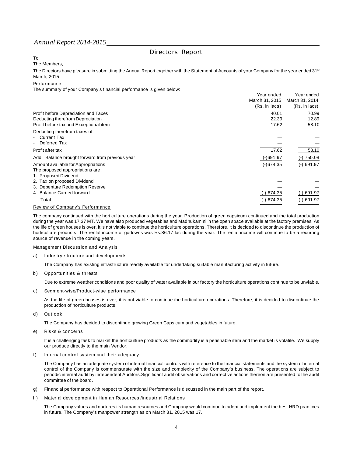# Directors' Report

# To

The Members,

The Directors have pleasure in submitting the Annual Report together with the Statement of Accounts of your Company for the year ended 31 st March, 2015.

Year ended

**Year ended**

#### **Performance**

The summary of your Company's financial performance is given below:

|                                                 | Tear engeg     | Teal engeg      |
|-------------------------------------------------|----------------|-----------------|
|                                                 | March 31, 2015 | March 31, 2014  |
|                                                 | (Rs. in lacs)  | (Rs. in lacs)   |
| Profit before Depreciation and Taxes            | 40.01          | 70.99           |
| Deducting therefrom Depreciation                | 22.39          | 12.89           |
| Profit before tax and Exceptional item          | 17.62          | 58.10           |
| Deducting therefrom taxes of:                   |                |                 |
| - Current Tax                                   |                |                 |
| Deferred Tax                                    |                |                 |
| Profit after tax                                | 17.62          | 58.10           |
| Add: Balance brought forward from previous year | (-)691.97      | 750.08          |
| Amount available for Appropriations             | $(-)674.35$    | $(-)$ 691.97    |
| The proposed appropriations are :               |                |                 |
| 1. Proposed Dividend                            |                |                 |
| 2. Tax on proposed Dividend                     |                |                 |
| 3. Debenture Redemption Reserve                 |                |                 |
| 4. Balance Carried forward                      | $(-)$ 674.35   | 691.97<br>$(-)$ |
| Total                                           | $(-)$ 674.35   | $(-)$ 691.97    |

#### **Review of Company's Performance**

The company continued with the horticulture operations during the year. Production of green capsicum continued and the total production during the year was 17.37 MT. We have also produced vegetables and Madhukamini in the open space available at the factory premises. As the life of green houses is over, it is not viable to continue the horticulture operations. Therefore, it is decided to discontinue the production of horticulture products. The rental income of godowns was Rs.86.17 lac during the year. The rental income will continue to be a recurring source of revenue in the coming years.

#### **Management Discussion and Analysis**

#### **a) Industry structure and developments**

The Company has existing infrastructure readily available for undertaking suitable manufacturing activity in future.

#### **b ) Opportunities & threats**

Due to extreme weather conditions and poor quality of water available in our factory the horticulture operations continue to be unviable.

#### **c) Segment-wise/Product-wise performance**

As the life of green houses is over, it is not viable to continue the horticulture operations. Therefore, it is decided to discontinue the production of horticulture products.

#### **d) Outlook**

The Company has decided to discontinue growing Green Capsicum and vegetables in future.

#### **e) Risks & concerns**

It is a challenging task to market the horticulture products as the commodity is a perishable item and the market is volatile. We supply our produce directly to the main Vendor.

#### **f) Internal control system and their adequacy**

The Company has an adequate system of internal financial controls with reference to the financial statements and the system of internal control of the Company is commensurate with the size and complexity of the Company's business. The operations are subject to periodic internal audit by independent Auditors.Significant audit observations and corrective actions thereon are presented to the audit committee of the board.

g) Financial performance with respect to Operational Performance is discussed in the main part of the report.

#### **h ) Material development in Human Resources /industrial Relations**

The Company values and nurtures its human resources and Company would continue to adopt and implement the best HRD practices in future. The Company's manpower strength as on March 31, 2015 was 17.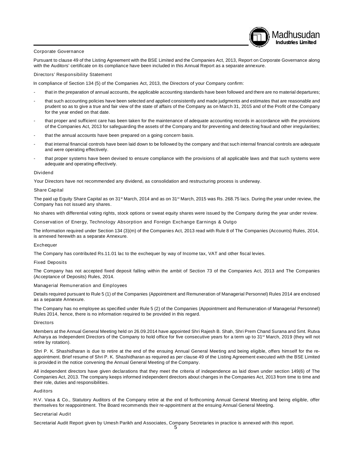# Madhusudan **Industries Limited**

#### **Corporate Governance**

Pursuant to clause 49 of the Listing Agreement with the BSE Limited and the Companies Act, 2013, Report on Corporate Governance along with the Auditors' certificate on its compliance have been included in this Annual Report as a separate annexure.

#### **Directors' Responsibility Statement**

In compliance of Section 134 (5) of the Companies Act, 2013, the Directors of your Company confirm:

- that in the preparation of annual accounts, the applicable accounting standards have been followed and there are no material departures;
- that such accounting policies have been selected and applied consistently and made judgments and estimates that are reasonable and prudent so as to give a true and fair view of the state of affairs of the Company as on March 31, 2015 and of the Profit of the Company for the year ended on that date.
- that proper and sufficient care has been taken for the maintenance of adequate accounting records in accordance with the provisions of the Companies Act, 2013 for safeguarding the assets of the Company and for preventing and detecting fraud and other irregularities;
- that the annual accounts have been prepared on a going concern basis.
- that internal financial controls have been laid down to be followed by the company and that such internal financial controls are adequate and were operating effectively.
- that proper systems have been devised to ensure compliance with the provisions of all applicable laws and that such systems were adequate and operating effectively.

#### **Dividend**

Your Directors have not recommended any dividend, as consolidation and restructuring process is underway.

#### **Share Capital**

The paid up Equity Share Capital as on 31st March, 2014 and as on 31st March, 2015 was Rs. 268.75 lacs. During the year under review, the Company has not issued any shares.

No shares with differential voting rights, stock options or sweat equity shares were issued by the Company during the year under review.

#### **Conservation of Energy, Technology Absorption and Foreign Exchange Earnings & Outgo**

The information required under Section 134 (3)(m) of the Companies Act, 2013 read with Rule 8 of The Companies (Accounts) Rules, 2014, is annexed herewith as a separate Annexure.

#### **Exchequer**

The Company has contributed Rs.11.01 lac to the exchequer by way of Income tax, VAT and other fiscal levies.

#### **Fixed Deposits**

The Company has not accepted fixed deposit falling within the ambit of Section 73 of the Companies Act, 2013 and The Companies (Acceptance of Deposits) Rules, 2014.

#### **Managerial Remuneration and Employees**

Details required pursuant to Rule 5 (1) of the Companies (Appointment and Remuneration of Managerial Personnel) Rules 2014 are enclosed as a separate Annexure.

The Company has no employee as specified under Rule 5 (2) of the Companies (Appointment and Remuneration of Managerial Personnel) Rules 2014, hence, there is no information required to be provided in this regard.

#### **Directors**

Members at the Annual General Meeting held on 26.09.2014 have appointed Shri Rajesh B. Shah, Shri Prem Chand Surana and Smt. Rutva Acharya as Independent Directors of the Company to hold office for five consecutive years for a term up to  $31<sup>st</sup>$  March, 2019 (they will not retire by rotation).

Shri P. K. Shashidharan is due to retire at the end of the ensuing Annual General Meeting and being eligible, offers himself for the reappointment. Brief resume of Shri P. K. Shashidharan as required as per clause 49 of the Listing Agreement executed with the BSE Limited is provided in the notice convening the Annual General Meeting of the Company.

All independent directors have given declarations that they meet the criteria of independence as laid down under section 149(6) of The Companies Act, 2013. The company keeps informed independent directors about changes in the Companies Act, 2013 from time to time and their role, duties and responsibilities.

#### **Auditors**

H.V. Vasa & Co., Statutory Auditors of the Company retire at the end of forthcoming Annual General Meeting and being eligible, offer themselves for reappointment. The Board recommends their re-appointment at the ensuing Annual General Meeting.

#### **Secretarial Audit**

**5** Secretarial Audit Report given by Umesh Parikh and Associates, Company Secretaries in practice is annexed with this report.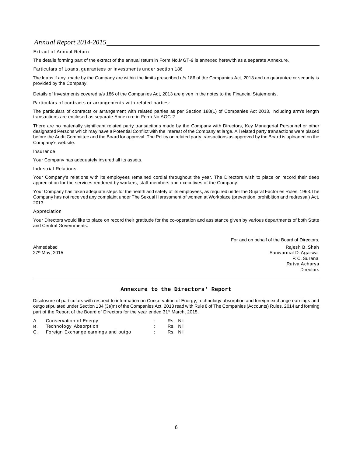### **Extract of Annual Return**

The details forming part of the extract of the annual return in Form No.MGT-9 is annexed herewith as a separate Annexure.

#### **Particulars of Loans, guarantees or investments under section 186**

The loans if any, made by the Company are within the limits prescribed u/s 186 of the Companies Act, 2013 and no guarantee or security is provided by the Company.

Details of Investments covered u/s 186 of the Companies Act, 2013 are given in the notes to the Financial Statements.

#### **Particulars of contracts or arrangements with related parties:**

The particulars of contracts or arrangement with related parties as per Section 188(1) of Companies Act 2013, including arm's length transactions are enclosed as separate Annexure in Form No.AOC-2

There are no materially significant related party transactions made by the Company with Directors, Key Managerial Personnel or other designated Persons which may have a Potential Conflict with the interest of the Company at large. All related party transactions were placed before the Audit Committee and the Board for approval. The Policy on related party transactions as approved by the Board is uploaded on the Company's website.

### **Insurance**

Your Company has adequately insured all its assets.

#### **Industrial Relations**

Your Company's relations with its employees remained cordial throughout the year. The Directors wish to place on record their deep appreciation for the services rendered by workers, staff members and executives of the Company.

Your Company has taken adequate steps for the health and safety of its employees, as required under the Gujarat Factories Rules, 1963.The Company has not received any complaint under The Sexual Harassment of women at Workplace (prevention, prohibition and redressal) Act, 2013.

#### **Appreciation**

Your Directors would like to place on record their gratitude for the co-operation and assistance given by various departments of both State and Central Governments.

For and on behalf of the Board of Directors,

Ahmedabad 27<sup>th</sup> May, 2015

**Rajesh B. Shah Sanwarmal D. Agarwal P. C. Surana Rutva Acharya Directors** 

#### **Annexure to the Directors' Report**

Disclosure of particulars with respect to information on Conservation of Energy, technology absorption and foreign exchange earnings and outgo stipulated under Section 134 (3)(m) of the Companies Act, 2013 read with Rule 8 of The Companies (Accounts) Rules, 2014 and forming part of the Report of the Board of Directors for the year ended 31<sup>st</sup> March, 2015.

| А. | <b>Conservation of Energy</b>       | Rs. Nil |  |
|----|-------------------------------------|---------|--|
| в. | <b>Technology Absorption</b>        | Rs. Nil |  |
| C. | Foreign Exchange earnings and outgo | Rs. Nil |  |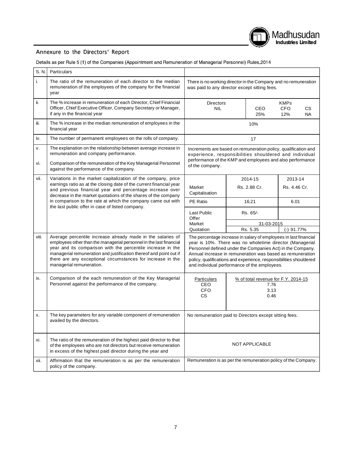

# Annexure to the Directors' Report

Details as per Rule 5 (1) of the Companies (Appointment and Remuneration of Managerial Personnel) Rules, 2014

| S. N.     | Particulars                                                                                                                                                                                                                                                                                                                                                        |                                                                                                                                                                                                                                                                                                                                                                               |               |                         |                           |                 |
|-----------|--------------------------------------------------------------------------------------------------------------------------------------------------------------------------------------------------------------------------------------------------------------------------------------------------------------------------------------------------------------------|-------------------------------------------------------------------------------------------------------------------------------------------------------------------------------------------------------------------------------------------------------------------------------------------------------------------------------------------------------------------------------|---------------|-------------------------|---------------------------|-----------------|
| i.        | The ratio of the remuneration of each director to the median<br>remuneration of the employees of the company for the financial<br>year                                                                                                                                                                                                                             | There is no working director in the Company and no remuneration<br>was paid to any director except sitting fees.                                                                                                                                                                                                                                                              |               |                         |                           |                 |
| ii.       | The % increase in remuneration of each Director, Chief Financial<br>Officer, Chief Executive Officer, Company Secretary or Manager,<br>if any in the financial year                                                                                                                                                                                                | <b>Directors</b><br><b>NIL</b>                                                                                                                                                                                                                                                                                                                                                |               | CEO<br>25%              | <b>KMPs</b><br>CFO<br>12% | СS<br><b>NA</b> |
| iii.      | The % increase in the median remuneration of employees in the<br>financial year                                                                                                                                                                                                                                                                                    |                                                                                                                                                                                                                                                                                                                                                                               |               | 10%                     |                           |                 |
| iv.       | The number of permanent employees on the rolls of company.                                                                                                                                                                                                                                                                                                         |                                                                                                                                                                                                                                                                                                                                                                               |               | 17                      |                           |                 |
| ٧.<br>vi. | The explanation on the relationship between average increase in<br>remuneration and company performance.<br>Comparison of the remuneration of the Key Managerial Personnel<br>against the performance of the company.                                                                                                                                              | Increments are based on remuneration policy, qualification and<br>experience, responsibilities shouldered and individual<br>performance of the KMP and employees and also performance<br>of the company.                                                                                                                                                                      |               |                         |                           |                 |
| vii.      | Variations in the market capitalization of the company, price<br>earnings ratio as at the closing date of the current financial year<br>and previous financial year and percentage increase over<br>decrease in the market quotations of the shares of the company                                                                                                 | Market<br>Capitalisation                                                                                                                                                                                                                                                                                                                                                      |               | 2014-15<br>Rs. 2.88 Cr. | 2013-14<br>Rs. 4.46 Cr.   |                 |
|           | in comparison to the rate at which the company came out with<br>the last public offer in case of listed company.                                                                                                                                                                                                                                                   | PE Ratio                                                                                                                                                                                                                                                                                                                                                                      | 16.21<br>6.01 |                         |                           |                 |
|           |                                                                                                                                                                                                                                                                                                                                                                    | <b>Last Public</b><br>Offer                                                                                                                                                                                                                                                                                                                                                   | Rs. 65/-      |                         |                           |                 |
|           |                                                                                                                                                                                                                                                                                                                                                                    | Market<br>Quotation                                                                                                                                                                                                                                                                                                                                                           |               | 31-03-2015<br>Rs. 5.35  | $(-)$ 91.77%              |                 |
| viii.     | Average percentile increase already made in the salaries of<br>employees other than the managerial personnel in the last financial<br>year and its comparison with the percentile increase in the<br>managerial remuneration and justification thereof and point out if<br>there are any exceptional circumstances for increase in the<br>managerial remuneration. | The percentage increase in salary of employees in last financial<br>year is 10%. There was no wholetime director (Managerial<br>Personnel defined under the Companies Act) in the Company.<br>Annual increase in remuneration was based as remuneration<br>policy, qualifications and experience, responsibilities shouldered<br>and individual performance of the employees. |               |                         |                           |                 |
| ix.       | Comparison of the each remuneration of the Key Managerial<br>Personnel against the performance of the company.                                                                                                                                                                                                                                                     | % of total revenue for F.Y. 2014-15<br><b>Particulars</b><br>CEO<br>7.76<br>CFO<br>3.13<br><b>CS</b><br>0.46                                                                                                                                                                                                                                                                  |               |                         |                           |                 |
| х.        | The key parameters for any variable component of remuneration<br>availed by the directors.                                                                                                                                                                                                                                                                         | No remuneration paid to Directors except sitting fees.                                                                                                                                                                                                                                                                                                                        |               |                         |                           |                 |
| xi.       | The ratio of the remuneration of the highest paid director to that<br>of the employees who are not directors but receive remuneration<br>in excess of the highest paid director during the year and                                                                                                                                                                | NOT APPLICABLE                                                                                                                                                                                                                                                                                                                                                                |               |                         |                           |                 |
| xii.      | Affirmation that the remuneration is as per the remuneration<br>policy of the company.                                                                                                                                                                                                                                                                             | Remuneration is as per the remuneration policy of the Company.                                                                                                                                                                                                                                                                                                                |               |                         |                           |                 |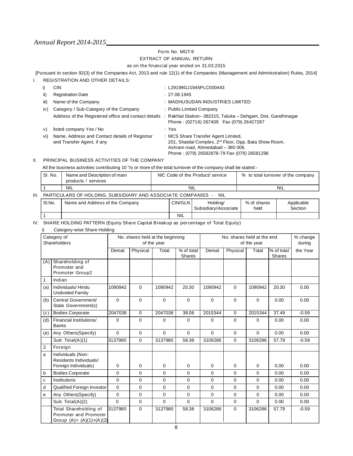# **Form No. MGT-9 EXTRACT OF ANNUAL RETURN**

### **as on the financial year ended on 31.03.2015**

[Pursuant to section 92(3) of the Companies Act, 2013 and rule 12(1) of the Companies (Management and Administration) Rules, 2014]

#### I. i) **REGISTRATION AND OTHER DETAILS:** CIN : L29199GJ1945PLC000443 ii) Registration Date : 27.08.1945 iii) Name of the Company **interpreteral and Company** : MADHUSUDAN INDUSTRIES LIMITED iv) Category / Sub-Category of the Company : Public Limited Company Address of the Registered office and contact details : Rakhial Station– 382315, Taluka – Dehgam, Dist. Gandhinagar Phone : (02716) 267409 Fax (079) 26427287 v) listed company Yes / No : Yes : Yes vi) Name, Address and Contact details of Registrar : MCS Share Transfer Agent Limited, and Transfer Agent, if any 201, Shatdal Complex,  $2<sup>nd</sup>$  Floor, Op 201, Shatdal Complex, 2<sup>nd</sup> Floor, Opp. Bata Show Room, Ashram road, Ahmedabad – 380 006. Phone : (079) 26582878-79 Fax (079) 26581296

#### II. **PRINCIPAL BUSINESS ACTIVITIES OF THE COMPANY**

All the business activities contributing 10 °/o or more of the total turnover of the company shall be stated:-

| SI. No. | Name and Description of main<br>products $/$<br>' services | NIC Code of the Product/ service | % to total turnover of the company |
|---------|------------------------------------------------------------|----------------------------------|------------------------------------|
|         | <b>NIL</b>                                                 | <b>NIL</b>                       | <b>NIL</b>                         |

### **III. PARTICULARS OF HOLDING, SUBSIDIARY AND ASSOCIATE COMPANIES - NIL**

| SI.No. | Name and Address of the Company | CIN/GLN    | Holdina/<br>Subsidiary/Associate | % of shares<br>held | Applicable<br>Section |
|--------|---------------------------------|------------|----------------------------------|---------------------|-----------------------|
|        |                                 | <b>NIL</b> |                                  |                     |                       |

#### IV. **SHARE HOLDING PATTERN (Equity Share Capital Breakup as percentage of Total Equity)**

#### i) Category-wise Share Holding

|              | Category of<br>Shareholders                                                              |              | No. shares held at the end<br>No. shares held at the beginning<br>of the year<br>of the year |                |                               |             |          |          | % change<br>during            |          |
|--------------|------------------------------------------------------------------------------------------|--------------|----------------------------------------------------------------------------------------------|----------------|-------------------------------|-------------|----------|----------|-------------------------------|----------|
|              |                                                                                          | Demat        | Physical                                                                                     | Total          | $%$ of total<br><b>Shares</b> | Demat       | Physical | Total    | $%$ of total<br><b>Shares</b> | the Year |
| (A)          | Shareholding of<br><b>Promoter and</b><br><b>Promoter Group2</b>                         |              |                                                                                              |                |                               |             |          |          |                               |          |
| $\mathbf{1}$ | Indian                                                                                   |              |                                                                                              |                |                               |             |          |          |                               |          |
| (a)          | Individuals/Hindu<br><b>Undivided Family</b>                                             | 1090942      | $\Omega$                                                                                     | 1090942        | 20.30                         | 1090942     | $\Omega$ | 1090942  | 20.30                         | 0.00     |
| (b)          | Central Government/<br>State Government(s)                                               | $\Omega$     | $\mathbf 0$                                                                                  | 0              | $\mathbf 0$                   | $\mathbf 0$ | 0        | 0        | 0.00                          | 0.00     |
| (c)          | <b>Bodies Corporate</b>                                                                  | 2047038      | $\mathbf 0$                                                                                  | 2047038        | 38.08                         | 2015344     | 0        | 2015344  | 37.49                         | $-0.59$  |
| (d)          | Financial Institutions/<br><b>Banks</b>                                                  | 0            | $\mathbf 0$                                                                                  | 0              | $\mathbf 0$                   | 0           | 0        | 0        | 0.00                          | 0.00     |
| (e)          | Any Others(Specify)                                                                      | $\Omega$     | $\overline{0}$                                                                               | $\overline{0}$ | $\Omega$                      | $\Omega$    | $\Omega$ | $\Omega$ | 0.00                          | 0.00     |
|              | Sub Total(A)(1)                                                                          | 3137980      | $\Omega$                                                                                     | 3137980        | 58.38                         | 3106286     | $\Omega$ | 3106286  | 57.79                         | $-0.59$  |
| $\mathbf{2}$ | Foreign                                                                                  |              |                                                                                              |                |                               |             |          |          |                               |          |
| a            | Individuals (Non-                                                                        |              |                                                                                              |                |                               |             |          |          |                               |          |
|              | Residents Individuals/<br>Foreign Individuals)                                           | $\mathbf 0$  | 0                                                                                            | 0              | $\Omega$                      | $\Omega$    | 0        | 0        | 0.00                          | 0.00     |
| b            | <b>Bodies Corporate</b>                                                                  | $\Omega$     | $\Omega$                                                                                     | $\Omega$       | $\Omega$                      | $\Omega$    | $\Omega$ | 0        | 0.00                          | 0.00     |
| C            | Institutions                                                                             | $\mathbf 0$  | 0                                                                                            | 0              | $\mathbf 0$                   | 0           | 0        | 0        | 0.00                          | 0.00     |
| d            | <b>Qualified Foreign Investor</b>                                                        | $\mathbf 0$  | 0                                                                                            | 0              | $\mathbf 0$                   | 0           | 0        | 0        | 0.00                          | 0.00     |
| e            | Any Others(Specify)                                                                      | $\Omega$     | $\mathbf{0}$                                                                                 | $\Omega$       | $\Omega$                      | $\Omega$    | $\Omega$ | 0        | 0.00                          | 0.00     |
|              | Sub Total(A)(2)                                                                          | $\mathbf{0}$ | $\mathbf 0$                                                                                  | $\Omega$       | $\Omega$                      | $\Omega$    | 0        | 0        | 0.00                          | 0.00     |
|              | <b>Total Shareholding of</b><br><b>Promoter and Promoter</b><br>Group (A)= (A)(1)+(A)(2) | 3137980      | $\Omega$                                                                                     | 3137980        | 58.38                         | 3106286     | $\Omega$ | 3106286  | 57.79                         | $-0.59$  |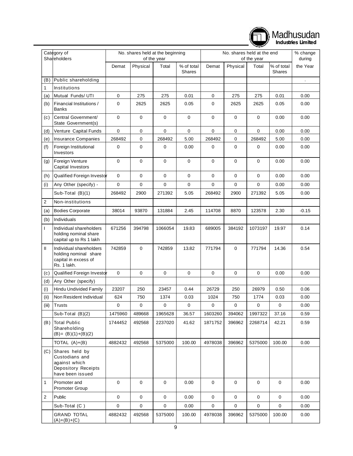|                |                                                                                                                |             |             |                                                 |                             |                                           |             |             |                      | <b>Industries Limited</b> |  |
|----------------|----------------------------------------------------------------------------------------------------------------|-------------|-------------|-------------------------------------------------|-----------------------------|-------------------------------------------|-------------|-------------|----------------------|---------------------------|--|
|                | Category of<br>Shareholders                                                                                    |             |             | No. shares held at the beginning<br>of the year |                             | No. shares held at the end<br>of the year |             |             |                      | % change<br>during        |  |
|                |                                                                                                                | Demat       | Physical    | Total                                           | % of total<br><b>Shares</b> | Demat                                     | Physical    | Total       | % of total<br>Shares | the Year                  |  |
| (B)            | <b>Public shareholding</b>                                                                                     |             |             |                                                 |                             |                                           |             |             |                      | $\ddot{\phantom{0}}$      |  |
| 1              | <b>Institutions</b>                                                                                            |             |             |                                                 |                             |                                           |             |             |                      |                           |  |
| (a)            | Mutual Funds/ UTI                                                                                              | 0           | 275         | 275                                             | 0.01                        | 0                                         | 275         | 275         | 0.01                 | 0.00                      |  |
| (b)            | Financial Institutions /<br><b>Banks</b>                                                                       | 0           | 2625        | 2625                                            | 0.05                        | 0                                         | 2625        | 2625        | 0.05                 | 0.00                      |  |
| (c)            | Central Government/<br>State Government(s)                                                                     | 0           | 0           | $\mathbf 0$                                     | 0                           | 0                                         | 0           | $\mathbf 0$ | 0.00                 | 0.00                      |  |
| (d)            | Venture Capital Funds                                                                                          | 0           | 0           | $\mathbf 0$                                     | 0                           | 0                                         | 0           | 0           | 0.00                 | 0.00                      |  |
| (e)            | <b>Insurance Companies</b>                                                                                     | 268492      | 0           | 268492                                          | 5.00                        | 268492                                    | 0           | 268492      | 5.00                 | 0.00                      |  |
| (f)            | Foreign Institutional<br>Investors                                                                             | 0           | 0           | $\mathbf 0$                                     | 0.00                        | 0                                         | 0           | $\mathbf 0$ | 0.00                 | 0.00                      |  |
| (g)            | Foreign Venture<br>Capital Investors                                                                           | 0           | 0           | $\mathbf 0$                                     | 0                           | $\mathbf 0$                               | $\mathbf 0$ | $\mathbf 0$ | 0.00                 | 0.00                      |  |
| (h)            | Qualified Foreign Investor                                                                                     | 0           | 0           | $\mathbf 0$                                     | 0                           | $\mathbf 0$                               | $\mathbf 0$ | $\mathbf 0$ | 0.00                 | 0.00                      |  |
| (i)            | Any Other (specify) -                                                                                          | 0           | 0           | $\mathbf 0$                                     | 0                           | 0                                         | $\mathbf 0$ | $\mathbf 0$ | 0.00                 | 0.00                      |  |
|                | Sub-Total (B)(1)                                                                                               | 268492      | 2900        | 271392                                          | 5.05                        | 268492                                    | 2900        | 271392      | 5.05                 | 0.00                      |  |
| 2              | <b>Non-institutions</b>                                                                                        |             |             |                                                 |                             |                                           |             |             |                      |                           |  |
| (a)            | <b>Bodies Corporate</b>                                                                                        | 38014       | 93870       | 131884                                          | 2.45                        | 114708                                    | 8870        | 123578      | 2.30                 | $-0.15$                   |  |
| (b)            | Individuals                                                                                                    |             |             |                                                 |                             |                                           |             |             |                      |                           |  |
| $\mathbf{I}$   | Individual shareholders<br>holding nominal share<br>capital up to Rs 1 lakh                                    | 671256      | 394798      | 1066054                                         | 19.83                       | 689005                                    | 384192      | 1073197     | 19.97                | 0.14                      |  |
| Ш              | Individual shareholders<br>holding nominal share<br>capital in excess of<br>Rs. 1 lakh.                        | 742859      | 0           | 742859                                          | 13.82                       | 771794                                    | $\mathbf 0$ | 771794      | 14.36                | 0.54                      |  |
| (c)            | Qualified Foreign Investor                                                                                     | 0           | 0           | 0                                               | 0                           | 0                                         | 0           | 0           | 0.00                 | 0.00                      |  |
| (d)            | Any Other (specify)                                                                                            |             |             |                                                 |                             |                                           |             |             |                      |                           |  |
| (i)            | Hindu Undivided Family                                                                                         | 23207       | 250         | 23457                                           | 0.44                        | 26729                                     | 250         | 26979       | 0.50                 | 0.06                      |  |
| (ii)           | Non Resident Individual                                                                                        | 624         | 750         | 1374                                            | 0.03                        | 1024                                      | 750         | 1774        | 0.03                 | 0.00                      |  |
| (iii)          | Trusts                                                                                                         | 0           | 0           | $\mathbf 0$                                     | 0                           | $\mathbf 0$                               | $\mathbf 0$ | $\mathbf 0$ | $\mathbf 0$          | 0.00                      |  |
|                | Sub-Total (B)(2)                                                                                               | 1475960     | 489668      | 1965628                                         | 36.57                       | 1603260                                   | 394062      | 1997322     | 37.16                | 0.59                      |  |
| (B)            | <b>Total Public</b><br>Shareholding<br>$(B)=(B)(1)+(B)(2)$                                                     | 1744452     | 492568      | 2237020                                         | 41.62                       | 1871752                                   | 396962      | 2268714     | 42.21                | 0.59                      |  |
|                | TOTAL $(A)+(B)$                                                                                                | 4882432     | 492568      | 5375000                                         | 100.00                      | 4978038                                   | 396962      | 5375000     | 100.00               | 0.00                      |  |
|                | (C) Shares held by<br><b>Custodians and</b><br>against which<br><b>Depository Receipts</b><br>have been issued |             |             |                                                 |                             |                                           |             |             |                      |                           |  |
| $\mathbf{1}$   | Promoter and<br>Promoter Group                                                                                 | 0           | $\mathbf 0$ | $\mathbf 0$                                     | 0.00                        | $\mathbf 0$                               | $\mathbf 0$ | $\mathbf 0$ | $\mathbf 0$          | 0.00                      |  |
| $\overline{2}$ | Public                                                                                                         | $\mathbf 0$ | 0           | $\mathbf 0$                                     | 0.00                        | $\mathbf 0$                               | $\mathbf 0$ | $\mathbf 0$ | $\mathbf 0$          | 0.00                      |  |
|                | Sub-Total (C)                                                                                                  | $\mathbf 0$ | $\mathsf 0$ | $\mathbf 0$                                     | 0.00                        | $\mathbf 0$                               | $\mathbf 0$ | $\mathbf 0$ | $\mathbf 0$          | 0.00                      |  |
|                | <b>GRAND TOTAL</b><br>$(A)+(B)+(C)$                                                                            | 4882432     | 492568      | 5375000                                         | 100.00                      | 4978038                                   | 396962      | 5375000     | 100.00               | 0.00                      |  |

Madhusudan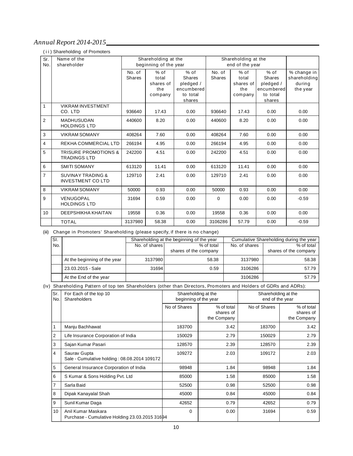( i i ) Shareholding of Promoters

| Sr.<br>No.     | Name of the<br>shareholder                              | Shareholding at the<br>Shareholding at the<br>beginning of the year<br>end of the year |                                                |                                                                          |                         |                                                |                                                                          |                                                   |
|----------------|---------------------------------------------------------|----------------------------------------------------------------------------------------|------------------------------------------------|--------------------------------------------------------------------------|-------------------------|------------------------------------------------|--------------------------------------------------------------------------|---------------------------------------------------|
|                |                                                         | No. of<br><b>Shares</b>                                                                | $%$ of<br>total<br>shares of<br>the<br>company | $%$ of<br><b>Shares</b><br>pledged /<br>encumbered<br>to total<br>shares | No. of<br><b>Shares</b> | $%$ of<br>total<br>shares of<br>the<br>company | $%$ of<br><b>Shares</b><br>pledged /<br>encumbered<br>to total<br>shares | % change in<br>shareholding<br>during<br>the year |
| 1              | <b>VIKRAM INVESTMENT</b><br>CO. LTD                     | 936640                                                                                 | 17.43                                          | 0.00                                                                     | 936640                  | 17.43                                          | 0.00                                                                     | 0.00                                              |
| $\overline{2}$ | <b>MADHUSUDAN</b><br><b>HOLDINGS LTD</b>                | 440600                                                                                 | 8.20                                           | 0.00                                                                     | 440600                  | 8.20                                           | 0.00                                                                     | 0.00                                              |
| 3              | <b>VIKRAM SOMANY</b>                                    | 408264                                                                                 | 7.60                                           | 0.00                                                                     | 408264                  | 7.60                                           | 0.00                                                                     | 0.00                                              |
| 4              | REKHA COMMERCIAL LTD                                    | 266194                                                                                 | 4.95                                           | 0.00                                                                     | 266194                  | 4.95                                           | 0.00                                                                     | 0.00                                              |
| 5              | <b>TRISURE PROMOTIONS &amp;</b><br><b>TRADINGS LTD</b>  | 242200                                                                                 | 4.51                                           | 0.00                                                                     | 242200                  | 4.51                                           | 0.00                                                                     | 0.00                                              |
| 6              | <b>SMITI SOMANY</b>                                     | 613120                                                                                 | 11.41                                          | 0.00                                                                     | 613120                  | 11.41                                          | 0.00                                                                     | 0.00                                              |
| $\overline{7}$ | <b>SUVINAY TRADING &amp;</b><br><b>INVESTMENT COLTD</b> | 129710                                                                                 | 2.41                                           | 0.00                                                                     | 129710                  | 2.41                                           | 0.00                                                                     | 0.00                                              |
| 8              | <b>VIKRAM SOMANY</b>                                    | 50000                                                                                  | 0.93                                           | 0.00                                                                     | 50000                   | 0.93                                           | 0.00                                                                     | 0.00                                              |
| 9              | VENUGOPAL<br><b>HOLDINGS LTD</b>                        | 31694                                                                                  | 0.59                                           | 0.00                                                                     | $\Omega$                | 0.00                                           | 0.00                                                                     | $-0.59$                                           |
| 10             | DEEPSHIKHA KHAITAN                                      | 19558                                                                                  | 0.36                                           | 0.00                                                                     | 19558                   | 0.36                                           | 0.00                                                                     | 0.00                                              |
|                | <b>TOTAL</b>                                            | 3137980                                                                                | 58.38                                          | 0.00                                                                     | 3106286                 | 57.79                                          | 0.00                                                                     | $-0.59$                                           |

#### (iii) **Change in Promoters'Shareholding (please specify, if there is no change)**

| ISI. |                              |               | Shareholding at the beginning of the year | Cumulative Shareholding during the year |                                     |  |
|------|------------------------------|---------------|-------------------------------------------|-----------------------------------------|-------------------------------------|--|
| No.  |                              | No. of shares | % of total<br>shares of the company       | No. of shares                           | % of total<br>shares of the company |  |
|      | At the beginning of the year | 3137980       | 58.38                                     | 3137980                                 | 58.38                               |  |
|      | 23.03.2015 - Sale            | 31694         | 0.59                                      | 3106286                                 | 57.79                               |  |
|      | At the End of the year       |               |                                           | 3106286                                 | 57.79                               |  |

## **(iv) Shareholding Pattern of top ten Shareholders (other than Directors, Promoters and Holders of GDRs and ADRs):**

| Sr.<br>No.      | For Each of the top 10<br><b>Shareholders</b>                        | Shareholding at the<br>beginning of the year |                                        | Shareholding at the<br>end of the year |                                        |
|-----------------|----------------------------------------------------------------------|----------------------------------------------|----------------------------------------|----------------------------------------|----------------------------------------|
|                 |                                                                      | No of Shares                                 | % of total<br>shares of<br>the Company | No of Shares                           | % of total<br>shares of<br>the Company |
| 1               | Manju Bachhawat                                                      | 183700                                       | 3.42                                   | 183700                                 | 3.42                                   |
| 2               | Life Insurance Corporation of India                                  | 150029                                       | 2.79                                   | 150029                                 | 2.79                                   |
| 3               | Sajan Kumar Pasari                                                   | 128570                                       | 2.39                                   | 128570                                 | 2.39                                   |
| 4               | Saurav Gupta<br>Sale - Cumulative holding: 08.08.2014 109172         | 109272                                       | 2.03                                   | 109172                                 | 2.03                                   |
| 5               | General Insurance Corporation of India                               | 98948                                        | 1.84                                   | 98948                                  | 1.84                                   |
| 6               | S Kumar & Sons Holding Pvt. Ltd                                      | 85000                                        | 1.58                                   | 85000                                  | 1.58                                   |
| 7               | Sarla Baid                                                           | 52500                                        | 0.98                                   | 52500                                  | 0.98                                   |
| 8               | Dipak Kanayalal Shah                                                 | 45000                                        | 0.84                                   | 45000                                  | 0.84                                   |
| 9               | Sunil Kumar Daga                                                     | 42652                                        | 0.79                                   | 42652                                  | 0.79                                   |
| 10 <sup>1</sup> | Anil Kumar Maskara<br>Purchase - Cumulative Holding 23.03.2015 31694 | $\Omega$                                     | 0.00                                   | 31694                                  | 0.59                                   |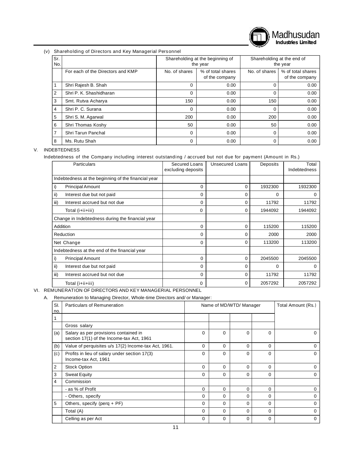

#### **(v) Shareholding of Directors and Key Managerial Personnel**

| Sr.<br>No.     |                                   |               | Shareholding at the beginning of<br>the year | Shareholding at the end of<br>the year |                                     |
|----------------|-----------------------------------|---------------|----------------------------------------------|----------------------------------------|-------------------------------------|
|                | For each of the Directors and KMP | No. of shares | % of total shares<br>of the company          | No. of shares                          | % of total shares<br>of the company |
|                | Shri Rajesh B. Shah               | 0             | 0.00                                         | 0                                      | 0.00                                |
| $\overline{2}$ | Shri P. K. Shashidharan           | 0             | 0.00                                         | $\mathbf 0$                            | 0.00                                |
| 3              | Smt. Rutva Acharya                | 150           | 0.00                                         | 150                                    | 0.00                                |
| 4              | Shri P. C. Surana                 | $\Omega$      | 0.00                                         | 0                                      | 0.00                                |
| 5              | Shri S. M. Agarwal                | 200           | 0.00                                         | 200                                    | 0.00                                |
| 6              | Shri Thomas Koshy                 | 50            | 0.00                                         | 50                                     | 0.00                                |
|                | Shri Tarun Panchal                | $\Omega$      | 0.00                                         | 0                                      | 0.00                                |
| 8              | Ms. Rutu Shah                     | 0             | 0.00                                         | 0                                      | 0.00                                |

## V. INDEBTEDNESS

### **Indebtedness of the Company including interest outstanding / accrued but not due for payment (Amount in Rs.)**

| Particulars                                         | Secured Loans<br>excluding deposits | <b>Unsecured Loans</b> | Deposits | Total<br>Indebtedness |
|-----------------------------------------------------|-------------------------------------|------------------------|----------|-----------------------|
| Indebtedness at the beginning of the financial year |                                     |                        |          |                       |
| <b>Principal Amount</b><br>i)                       | 0                                   | $\Omega$               | 1932300  | 1932300               |
| ii)<br>Interest due but not paid                    | $\Omega$                            | $\Omega$               | 0        | 0                     |
| iii)<br>Interest accrued but not due                | 0                                   | $\Omega$               | 11792    | 11792                 |
| Total (i+ii+iii)                                    | $\Omega$                            | $\Omega$               | 1944092  | 1944092               |
| Change in Indebtedness during the financial year    |                                     |                        |          |                       |
| Addition                                            | 0                                   | $\Omega$               | 115200   | 115200                |
| Reduction                                           | 0                                   | $\Omega$               | 2000     | 2000                  |
| <b>Net Change</b>                                   | $\Omega$                            | $\Omega$               | 113200   | 113200                |
| Indebtedness at the end of the financial year       |                                     |                        |          |                       |
| <b>Principal Amount</b><br>i)                       | 0                                   | $\Omega$               | 2045500  | 2045500               |
| ii)<br>Interest due but not paid                    | 0                                   | $\Omega$               | 0        | 0                     |
| iii)<br>Interest accrued but not due                | 0                                   | $\Omega$               | 11792    | 11792                 |
| Total {i+ii+iii)                                    | 0                                   | $\Omega$               | 2057292  | 2057292               |

**VI.** REMUNERATION OF DIRECTORS AND KEY MANAGERIAL PERSONNEL

A. Remuneration to Managing Director, Whole-time Directors and/ or Manager:

| SI.<br>no. | Particulars of Remuneration                                                        | Name of MD/WTD/ Manager |          |          | Total Amount (Rs.) |          |
|------------|------------------------------------------------------------------------------------|-------------------------|----------|----------|--------------------|----------|
| 1          |                                                                                    |                         |          |          |                    |          |
|            | Gross salary                                                                       |                         |          |          |                    |          |
| (a)        | Salary as per provisions contained in<br>section 17(1) of the Income-tax Act, 1961 | 0                       | $\Omega$ | $\Omega$ | $\Omega$           | O        |
| (b)        | Value of perquisites u/s 17(2) Income-tax Act, 1961.                               | $\Omega$                | $\Omega$ | $\Omega$ | $\Omega$           | 0        |
| (c)        | Profits in lieu of salary under section 17(3)<br>Income-tax Act, 1961              | $\mathbf 0$             | $\Omega$ | $\Omega$ | $\Omega$           | 0        |
| 2          | <b>Stock Option</b>                                                                | $\Omega$                | $\Omega$ | $\Omega$ | $\Omega$           | 0        |
| 3          | <b>Sweat Equity</b>                                                                | 0                       | 0        | 0        | $\Omega$           | $\Omega$ |
| 4          | Commission                                                                         |                         |          |          |                    |          |
|            | - as % of Profit                                                                   | $\mathbf 0$             | 0        | $\Omega$ | $\mathbf 0$        | 0        |
|            | - Others, specify                                                                  | $\Omega$                |          | 0        | $\Omega$           | $\Omega$ |
| 5          | Others, specify (perq + PF)                                                        | $\Omega$                | 0        | $\Omega$ | $\Omega$           | $\Omega$ |
|            | Total (A)                                                                          | $\Omega$                | $\Omega$ | $\Omega$ | $\Omega$           | 0        |
|            | Celling as per Act                                                                 | 0                       | 0        | $\Omega$ | $\Omega$           | 0        |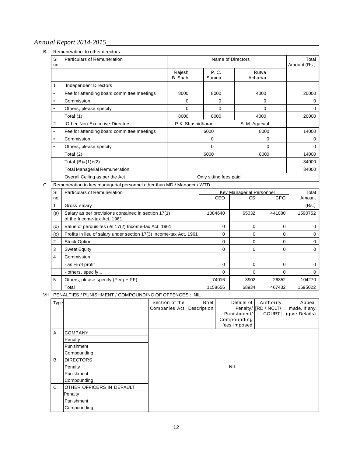B. Remuneration to other directors:

| SI.<br>no. | Particulars of Remuneration                |                        | Name of Directors |                  |          |
|------------|--------------------------------------------|------------------------|-------------------|------------------|----------|
|            |                                            | Rajesh<br>B. Shah      | P.C.<br>Surana    | Rutva<br>Acharya |          |
| 1          | Independent Directors                      |                        |                   |                  |          |
| $\bullet$  | Fee for attending board committee meetings | 8000                   | 8000              | 4000             | 20000    |
| $\bullet$  | Commission                                 | 0                      | 0                 | 0                | 0        |
| $\bullet$  | Others, please specify                     | 0                      | 0                 | 0                | 0        |
|            | Total (1)                                  | 8000                   | 8000              | 4000             | 20000    |
| 2          | <b>Other Non-Executive Directors</b>       | P.K. Shashidharan      |                   | S. M. Agarwal    |          |
| ٠          | Fee for attending board committee meetings |                        | 6000              | 8000             | 14000    |
| ٠          | Commission                                 |                        | $\Omega$          | $\Omega$         | $\Omega$ |
| ٠          | Others, please specify                     |                        | $\Omega$          | $\Omega$         | 0        |
|            | Total (2)                                  |                        | 6000              | 8000             | 14000    |
|            | Total $(B)=(1)+(2)$                        |                        |                   |                  | 34000    |
|            | <b>Total Managerial Remuneration</b>       |                        |                   |                  | 34000    |
|            | Overall Ceiling as per the Act             | Only sitting fees paid |                   |                  |          |

# C. Remuneration to key managerial personnel other than MD / Manager / WTD

| SI.            | Particulars of Remuneration                                                        | Key Managerial Personnel |          |            | Total    |
|----------------|------------------------------------------------------------------------------------|--------------------------|----------|------------|----------|
| no.            |                                                                                    | CEO                      | CS.      | <b>CFO</b> | Amount   |
|                | Gross salary                                                                       |                          |          |            | (Rs.)    |
| (a)            | Salary as per provisions contained in section 17(1)<br>of the Income-tax Act, 1961 | 1084640                  | 65032    | 441080     | 1590752  |
| (b)            | Value of perquisites u/s 17(2) Income-tax Act, 1961                                | $\Omega$                 | $\Omega$ | $\Omega$   | O        |
| (c)            | Profits in lieu of salary under section 17(3) Income-tax Act, 1961                 | $\mathbf 0$              | $\Omega$ | $\Omega$   | $\Omega$ |
| $\overline{2}$ | <b>Stock Option</b>                                                                | $\Omega$                 | 0        | 0          | 0        |
| 3              | <b>Sweat Equity</b>                                                                | $\Omega$                 | $\Omega$ | 0          | 0        |
| 4              | Commission                                                                         |                          |          |            |          |
|                | - as % of profit                                                                   | $\Omega$                 | $\Omega$ | $\Omega$   |          |
|                | - others. specify                                                                  | 0                        | 0        | 0          | $\Omega$ |
| 5              | Others, please specify (Perq + PF)                                                 | 74016                    | 3902     | 26352      | 104270   |
|                | Total                                                                              | 1158656                  | 68934    | 467432     | 1695022  |

VII. PENALTIES / PUNISHMENT / COMPOUNDING OF OFFENCES : NIL

| <b>Type</b> |                           | Section of the<br>Companies Act | <b>Brief</b><br><b>Description</b> | Details of<br><b>Punishment/</b><br>Compounding<br>fees imposed | <b>Authority</b><br>Penalty/ [RD / NCLT/<br><b>COURT1</b> | Appeal<br>made, if any<br>(give Details) |
|-------------|---------------------------|---------------------------------|------------------------------------|-----------------------------------------------------------------|-----------------------------------------------------------|------------------------------------------|
| А.          | <b>COMPANY</b>            |                                 |                                    |                                                                 |                                                           |                                          |
|             | Penalty                   |                                 |                                    |                                                                 |                                                           |                                          |
|             | Punishment                |                                 |                                    |                                                                 |                                                           |                                          |
|             | Compounding               |                                 |                                    |                                                                 |                                                           |                                          |
| В.          | <b>DIRECTORS</b>          |                                 |                                    |                                                                 |                                                           |                                          |
|             | Penalty                   |                                 |                                    | <b>NIL</b>                                                      |                                                           |                                          |
|             | Punishment                |                                 |                                    |                                                                 |                                                           |                                          |
|             | Compounding               |                                 |                                    |                                                                 |                                                           |                                          |
| C.          | OTHER OFFICERS IN DEFAULT |                                 |                                    |                                                                 |                                                           |                                          |
|             | Penalty                   |                                 |                                    |                                                                 |                                                           |                                          |
|             | Punishment                |                                 |                                    |                                                                 |                                                           |                                          |
|             | Compounding               |                                 |                                    |                                                                 |                                                           |                                          |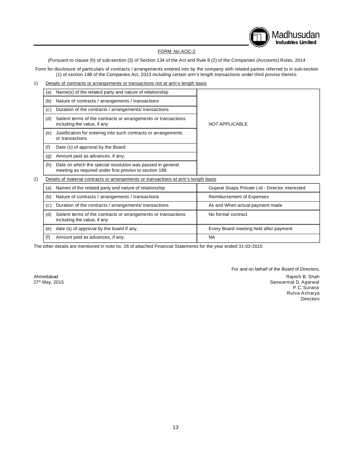

### **FORM No.AOC-2**

(Pursuant to clause (h) of sub-section (3) of Section 134 of the Act and Rule 8 (2) of the Companies (Accounts) Rules, 2014

Form for disclosure of particulars of contracts / arrangements entered into by the company with related parties referred to in sub-section (1) of section 188 of the Companies Act, 2013 including certain arm's length transactions under third proviso thereto.

1) Details of contracts or arrangements or transactions not at arm's length basis

|                                                                                          | (a)                                      | Name(s) of the related party and nature of relationship                                                              |                                                 |
|------------------------------------------------------------------------------------------|------------------------------------------|----------------------------------------------------------------------------------------------------------------------|-------------------------------------------------|
|                                                                                          | (b)                                      | Nature of contracts / arrangements / transactions                                                                    |                                                 |
|                                                                                          | (c)                                      | Duration of the contracts / arrangements/ transactions                                                               |                                                 |
|                                                                                          | (d)                                      | Salient terms of the contracts or arrangements or transactions<br>including the value, if any                        | <b>NOT APPLICABLE</b>                           |
| Justification for entering into such contracts or arrangements<br>(e)<br>or transactions |                                          |                                                                                                                      |                                                 |
|                                                                                          | Date (s) of approval by the Board<br>(f) |                                                                                                                      |                                                 |
|                                                                                          | (g)                                      | Amount paid as advances, if any;                                                                                     |                                                 |
|                                                                                          | (h)                                      | Date on which the special resolution was passed in general<br>meeting as required under first proviso to section 188 |                                                 |
| 2)                                                                                       |                                          | Details of material contracts or arrangements or transactions at arm's length basis                                  |                                                 |
|                                                                                          | (a)                                      | Names of the related party and nature of relationship                                                                | Gujarat Soaps Private Ltd - Director interested |
|                                                                                          | (b)                                      | Nature of contracts / arrangements / transactions                                                                    | Reimbursement of Expenses                       |
|                                                                                          | (c)                                      | Duration of the contracts / arrangements/ transactions                                                               | As and When actual payment made                 |
|                                                                                          | (d)                                      | Salient terms of the contracts or arrangements or transactions<br>including the value, if any                        | No formal contract                              |
|                                                                                          | (e)                                      | date (s) of approval by the board if any,                                                                            | Every Board meeting held after payment          |

The other details are mentioned in note no. 26 of attached Financial Statements for the year ended 31-03-2015

(f) Amount paid as advances, if any; NA

Ahmedabad 27<sup>th</sup> May, 2015 For and on behalf of the Board of Directors,

**Rajesh B. Shah Sanwarmal D. Agarwal P. C. Surana Rutva Acharya Directors**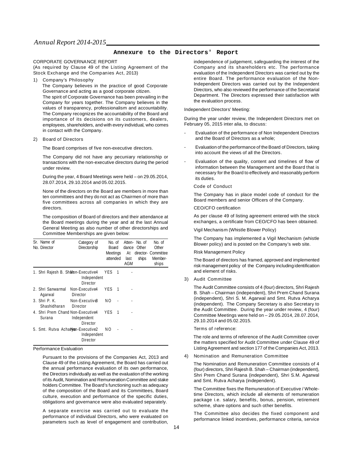### **Annexure to the Directors' Report**

#### **CORPORATE GOVERNANCE REPORT**

**(As required by Clause 49 of the Listing Agreement of the Stock Exchange and the Companies Act, 2013)**

#### **1) Company's Philosophy**

The Company believes in the practice of good Corporate Governance and acting as a good corporate citizen. The spirit of Corporate Governance has been prevailing in the Company for years together. The Company believes in the values of transparency, professionalism and accountability. The Company recognizes the accountability of the Board and importance of its decisions on its customers, dealers, employees, shareholders, and with every individual, who comes in contact with the Company.

#### **2) Board of Directors**

The Board comprises of five non-executive directors.

The Company did not have any pecuniary relationship or transactions with the non-executive directors during the period under review.

During the year, 4 Board Meetings were held – on 29.05.2014, 28.07.2014, 29.10.2014 and 05.02.2015.

None of the directors on the Board are members in more than ten committees and they do not act as Chairmen of more than five committees across all companies in which they are directors.

The composition of Board of directors and their attendance at the Board meetings during the year and at the last Annual General Meeting as also number of other directorships and Committee Memberships are given below:

| Sr. Name of<br>No. Director                 | Category of<br>Directorship | No. of<br>Board<br>Meetings<br>attended |                          | dance<br>At<br>last<br>AGM | Atten- No. of<br>Other<br>ships | No. of<br>Other<br>director- Committee<br>Member-<br>ships |
|---------------------------------------------|-----------------------------|-----------------------------------------|--------------------------|----------------------------|---------------------------------|------------------------------------------------------------|
| 1. Shri Rajesh B. Shalon-Executive4         | Independent<br>Director     | YES.                                    | - 1                      |                            |                                 |                                                            |
| 2. Shri Sanwarmal<br>Agarwal                | Non-Executive4<br>Director  | YES.                                    | $\overline{\phantom{0}}$ |                            |                                 |                                                            |
| 3. Shri P. K.<br>Shashidharan               | Non-Executive<br>Director   | ΝO                                      |                          |                            |                                 |                                                            |
| 4. Shri Prem Chand Non-Executive4<br>Surana | Independent<br>Director     | YES                                     | 1                        |                            |                                 |                                                            |
| 5. Smt. Rutva Achalvan-Executive2           | Independent<br>Director     | ΝO                                      |                          |                            |                                 |                                                            |

Performance Evaluation

Pursuant to the provisions of the Companies Act, 2013 and Clause 49 of the Listing Agreement, the Board has carried out the annual performance evaluation of its own performance, the Directors individually as well as the evaluation of the working of its Audit, Nomination and Remuneration Committee and stake holders Committee. The Board's functioning such as adequacy of the composition of the Board and its Committees, Board culture, execution and performance of the specific duties, obligations and governance were also evaluated separately.

A separate exercise was carried out to evaluate the performance of individual Directors, who were evaluated on parameters such as level of engagement and contribution,

independence of judgement, safeguarding the interest of the Company and its shareholders etc. The performance evaluation of the Independent Directors was carried out by the entire Board. The performance evaluation of the Non-Independent Directors was carried out by the Independent Directors, who also reviewed the performance of the Secretarial Department. The Directors expressed their satisfaction with the evaluation process.

#### Independent Directors' Meeting:

During the year under review, the Independent Directors met on February 05, 2015 inter alia, to discuss:

- Evaluation of the performance of Non Independent Directors and the Board of Directors as a whole;
- Evaluation of the performance of the Board of Directors, taking into account the views of all the Directors.
- Evaluation of the quality, content and timelines of flow of information between the Management and the Board that is necessary for the Board to effectively and reasonably perform its duties.

#### **Code of Conduct**

The Company has in place model code of conduct for the Board members and senior Officers of the Company.

#### CEO/CFO certification

As per clause 49 of listing agreement entered with the stock exchanges, a certificate from CEO/CFO has been obtained.

Vigil Mechanism (Whistle Blower Policy)

The Company has implemented a Vigil Mechanism (whistle Blower policy) and is posted on the Company's web site.

#### Risk Management Policy

The Board of directors has framed, approved and implemented risk management policy of the Company including identification and element of risks.

#### **3) Audit Committee**

The Audit Committee consists of 4 (four) directors, Shri Rajesh B. Shah – Chairman (independent), Shri Prem Chand Surana (independent), Shri S. M. Agarwal and Smt. Rutva Acharya (independent). The Company Secretary is also Secretary to the Audit Committee. During the year under review, 4 (four) Committee Meetings were held on – 29.05.2014, 28.07.2014, 29.10.2014 and 05.02.2015.

#### **Terms of reference:**

The role and terms of reference of the Audit Committee cover the matters specified for Audit Committee under Clause 49 of Listing Agreement and section 177 of the Companies Act, 2013.

#### **4) Nomination and Remuneration Committee**

The Nomination and Remuneration Committee consists of 4 (four) directors, Shri Rajesh B. Shah – Chairman (independent), Shri Prem Chand Surana (independent), Shri S.M. Agarwal and Smt. Rutva Acharya (independent).

The Committee fixes the Remuneration of Executive / Wholetime Directors, which include all elements of remuneration package i.e. salary, benefits, bonus, pension, retirement scheme, share options and such other benefits.

The Committee also decides the fixed component and performance linked incentives, performance criteria, service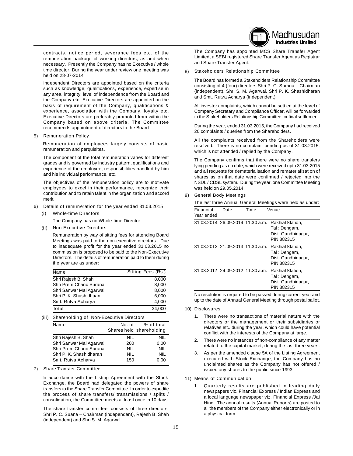

contracts, notice period, severance fees etc. of the remuneration package of working directors, as and when necessary. Presently the Company has no Executive / whole time director. During the year under review one meeting was held on 28-07-2014.

Independent Directors are appointed based on the criteria such as knowledge, qualifications, experience, expertise in any area, integrity, level of independence from the Board and the Company etc. Executive Directors are appointed on the basis of requirement of the Company, qualifications & experience, association with the Company, loyalty etc. Executive Directors are preferably promoted from within the Company based on above criteria. The Committee recommends appointment of directors to the Board

#### **5) Remuneration Policy**

Remuneration of employees largely consists of basic remuneration and perquisites.

The component of the total remuneration varies for different grades and is governed by Industry pattern, qualifications and experience of the employee, responsibilities handled by him and his individual performance, etc.

The objectives of the remuneration policy are to motivate employees to excel in their performance, recognize their contribution and to retain talent in the organization and accord merit.

#### **6) Details of remuneration for the year ended 31.03.2015**

#### **(i) Whole-time Directors**

The Company has no Whole-time Director

#### **(ii) Non-Executive Directors**

Remuneration by way of sitting fees for attending Board Meetings was paid to the non-executive directors. Due to inadequate profit for the year ended 31.03.2015 no commission is proposed to be paid to the Non-Executive Directors. The details of remuneration paid to them during the year are as under:

| <b>Name</b>             | <b>Sitting Fees (Rs.)</b> |
|-------------------------|---------------------------|
| Shri Rajesh B. Shah     | 8.000                     |
| Shri Prem Chand Surana  | 8,000                     |
| Shri Sanwar Mal Agarwal | 8.000                     |
| Shri P. K. Shashidhaan  | 6.000                     |
| Smt. Rutva Acharya      | 4.000                     |
| Total                   | 34.000                    |

**(iii) Shareholding of Non-Executive Directors**

| <b>Name</b>             | No. of     | % of total               |
|-------------------------|------------|--------------------------|
|                         |            | Shares held shareholding |
| Shri Rajesh B. Shah     | <b>NIL</b> | NIL                      |
| Shri Sanwar Mal Agarwal | 200        | 0.00                     |
| Shri Prem Chand Surana  | <b>NIL</b> | <b>NIL</b>               |
| Shri P. K. Shashidharan | NIL        | <b>NIL</b>               |
| Smt. Rutva Acharya      | 150        | 0.00                     |

#### **7) Share Transfer Committee**

In accordance with the Listing Agreement with the Stock Exchange, the Board had delegated the powers of share transfers to the Share Transfer Committee. In order to expedite the process of share transfers/ transmissions / splits / consolidation, the Committee meets at least once in 10 days.

The share transfer committee, consists of three directors, Shri P. C. Suana – Chairman (independent), Rajesh B. Shah (independent) and Shri S. M. Agarwal.

The Company has appointed MCS Share Transfer Agent Limited, a SEBI registered Share Transfer Agent as Registrar and Share Transfer Agent.

#### **8) Stakeholders Relationship Committee**

The Board has formed a Stakeholders Relationship Committee consisting of 4 (four) directors Shri P. C. Surana – Chairman (independent), Shri S. M. Agarwal, Shri P. K. Shashidharan and Smt. Rutva Acharya (independent).

All investor complaints, which cannot be settled at the level of Company Secretary and Compliance Officer, will be forwarded to the Stakeholders Relationship Committee for final settlement.

During the year, ended 31.03.2015, the Company had received 20 complaints / queries from the Shareholders.

All the complaints received from the Shareholders were resolved. There is no complaint pending as of 31.03.2015, which is not attended / replied by the Company.

The Company confirms that there were no share transfers lying pending as on date, which were received upto 31.03.2015 and all requests for dematerialisation and rematerialisation of shares as on that date were confirmed / rejected into the NSDL / CDSL system. During the year, one Committee Meeting was held on 29.05.2014.

#### **9) General Body Meetings**

The last three Annual General Meetings were held as under:

| Financial<br>Year ended | Date                             | Time | Venue                                                                |
|-------------------------|----------------------------------|------|----------------------------------------------------------------------|
|                         | 31.03.2014 26.09.2014 11.30 a.m. |      | Rakhial Station.<br>Tal: Dehgam,<br>Dist. Gandhinagar,<br>PIN:382315 |
|                         | 31.03.2013 21.09.2013 11.30 a.m. |      | Rakhial Station.<br>Tal: Dehgam,<br>Dist. Gandhinagar,<br>PIN:382315 |
|                         | 31.03.2012 24.09.2012 11.30 a.m. |      | Rakhial Station.<br>Tal: Dehgam,<br>Dist. Gandhinagar,<br>PIN:382315 |

No resolution is required to be passed during current year and up to the date of Annual General Meeting through postal ballot.

#### **10) Disclosures**

- 1. There were no transactions of material nature with the directors or the management or their subsidiaries or relatives etc. during the year, which could have potential conflict with the interests of the Company at large.
- 2. There were no instances of non-compliance of any matter related to the capital market, during the last three years.
- 3. As per the amended clause 5A of the Listing Agreement executed with Stock Exchange, the Company has no unclaimed shares as the Company has not offered / issued any shares to the public since 1993.

#### **11) Means of Communication**

1. Quarterly results are published in leading daily newspapers viz. Financial Express / Indian Express and a local language newspaper viz. Financial Express /Jai Hind. The annual results (Annual Reports) are posted to all the members of the Company either electronically or in a physical form.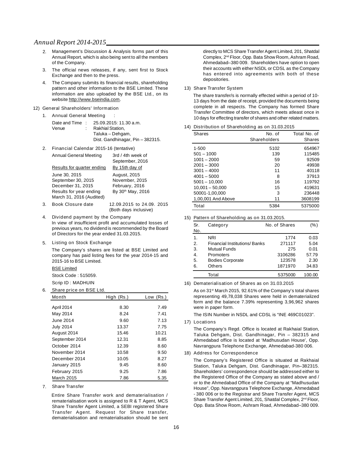- 2. Management's Discussion & Analysis forms part of this Annual Report, which is also being sent to all the members of the Company.
- 3. The official news releases, if any, sent first to Stock Exchange and then to the press.
- 4. The Company submits its financial results, shareholding pattern and other information to the BSE Limited. These information are also uploaded by the BSE Ltd., on its website http://www.bseindia.com.

#### **12) General Shareholders' Information**

#### **1. Annual General Meeting :**

| Date and Time : | 25.09.2015: 11.30 a.m.           |
|-----------------|----------------------------------|
| Venue           | Rakhial Station.                 |
|                 | Taluka – Dehgam,                 |
|                 | Dist. Gandhinagar, Pin - 382315. |

**2. Financial Calendar 2015-16** (tentative)

| <b>Annual General Meeting</b>                                                                                   | 3rd / 4th week of<br>September, 2016                                  |
|-----------------------------------------------------------------------------------------------------------------|-----------------------------------------------------------------------|
| Results for quarter ending                                                                                      | By 15th day of                                                        |
| June 30, 2015<br>September 30, 2015<br>December 31, 2015<br>Results for year ending<br>March 31, 2016 (Audited) | August, 2015<br>November, 2015<br>February, 2016<br>By 30th May, 2016 |
|                                                                                                                 |                                                                       |

**3. Book Closure date** 12.09.2015 to 24.09. 2015

(Both days inclusive)

#### **4. Dividend payment by the Company**

In view of insufficient profit and accumulated losses of previous years, no dividend is recommended by the Board of Directors for the year ended 31.03.2015.

#### **5. Listing on Stock Exchange**

The Company's shares are listed at BSE Limited and company has paid listing fees for the year 2014-15 and 2015-16 to BSE Limited.

#### BSE Limited

Stock Code : 515059.

Scrip ID : MADHUIN

#### **6. Share price on BSE Ltd.**

| <b>Month</b>      | High (Rs.) | Low (Rs.) |
|-------------------|------------|-----------|
|                   |            |           |
| April 2014        | 8.30       | 7.49      |
| May 2014          | 8.24       | 7.41      |
| June 2014         | 9.60       | 7.13      |
| <b>July 2014</b>  | 13.37      | 7.75      |
| August 2014       | 15.46      | 10.21     |
| September 2014    | 12.31      | 8.85      |
| October 2014      | 12.39      | 8.60      |
| November 2014     | 10.58      | 9.50      |
| December 2014     | 10.05      | 8.27      |
| January 2015      | 9.45       | 8.60      |
| February 2015     | 9.25       | 7.86      |
| <b>March 2015</b> | 7.86       | 5.35      |

#### **7. Share Transfer**

Entire Share Transfer work and dematerialisation / rematerialisation work is assigned to R & T Agent, MCS Share Transfer Agent Limited, a SEBI registered Share Transfer Agent. Request for Share transfer, dematerialisation and rematerialisation should be sent

directly to MCS Share Transfer Agent Limited, 201, Shatdal Complex, 2<sup>nd</sup> Floor, Opp. Bata Show Room, Ashram Road, Ahmedabad–380 009. Shareholders have option to open their accounts with either NSDL or CDSL as the Company has entered into agreements with both of these depositories.

#### **13) Share Transfer System**

The share transfer/s is normally effected within a period of 10- 13 days from the date of receipt, provided the documents being complete in all respects. The Company has formed Share Transfer Committee of directors, which meets atleast once in 10 days for effecting transfer of shares and other related matters.

#### **14) Distribution of Shareholding as on 31.03.2015**

| <b>Shares</b>      | No. of<br><b>Shareholders</b> | Total No. of<br><b>Shares</b> |
|--------------------|-------------------------------|-------------------------------|
| 1-500              | 5102                          | 654967                        |
| $501 - 1000$       | 139                           | 115485                        |
| $1001 - 2000$      | 59                            | 92509                         |
| $2001 - 3000$      | 20                            | 49938                         |
| $3001 - 4000$      | 11                            | 40118                         |
| $4001 - 5000$      | 8                             | 37913                         |
| $5001 - 10.000$    | 16                            | 119792                        |
| $10.001 - 50.000$  | 15                            | 419631                        |
| 50001-1.00.000     | 3                             | 236448                        |
| 1,00,001 And Above | 11                            | 3608199                       |
| Total              | 5384                          | 5375000                       |

#### **15) Pattern of Shareholding as on 31.03.2015.**

| Sr.<br>No. | Category                            | No. of Shares | (%)    |
|------------|-------------------------------------|---------------|--------|
| 1.         | NRI                                 | 1774          | 0.03   |
| 2.         | <b>Financial Institutions/Banks</b> | 271117        | 5.04   |
| 3.         | Mutual Funds                        | 275           | 0.01   |
| 4.         | Promoters                           | 3106286       | 57.79  |
| 5.         | <b>Bodies Corporate</b>             | 123578        | 2.30   |
| 6.         | Others                              | 1871970       | 34.83  |
|            | Total                               | 5375000       | 100.00 |

#### **16) Dematerialisation of Shares as on 31.03.2015**

As on 31<sup>st</sup> March 2015, 92.61% of the Company's total shares representing 49,78,038 Shares were held in dematerialized form and the balance 7.39% representing 3,96,962 shares were in paper form.

The ISIN Number in NSDL and CDSL is "INE 469C01023".

#### **17) Locations**

The Company's Regd. Office is located at Rakhaial Station, Taluka Dehgam, Dist. Gandhinagar, Pin – 382315 and Ahmedabad office is located at 'Madhusudan House', Opp. Navrangpura Telephone Exchange, Ahmedabad-380 006.

#### **18) Address for Correspondence**

The Company's Registered Office is situated at Rakhaial Station, Taluka Dehgam, Dist. Gandhinagar, Pin–382315. Shareholders' correspondence should be addressed either to the Registered Office of the Company as stated above and / or to the Ahmedabad Office of the Company at "Madhusudan House", Opp. Navrangpura Telephone Exchange, Ahmedabad - 380 006 or to the Registrar and Share Transfer Agent, MCS Share Transfer Agent Limited, 201, Shatdal Complex, 2<sup>nd</sup> Floor, Opp. Bata Show Room, Ashram Road, Ahmedabad–380 009.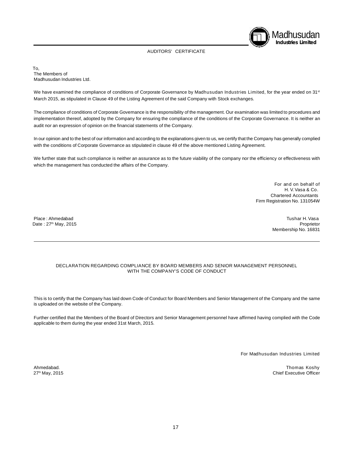# Madhusudan **Industries Limited**

### **AUDITORS' CERTIFICATE**

To, The Members of Madhusudan Industries Ltd.

We have examined the compliance of conditions of Corporate Governance by Madhusudan Industries Limited, for the year ended on 31<sup>st</sup> March 2015, as stipulated in Clause 49 of the Listing Agreement of the said Company with Stock exchanges.

The compliance of conditions of Corporate Governance is the responsibility of the management. Our examination was limited to procedures and implementation thereof, adopted by the Company for ensuring the compliance of the conditions of the Corporate Governance. It is neither an audit nor an expression of opinion on the financial statements of the Company.

In our opinion and to the best of our information and according to the explanations given to us, we certify that the Company has generally complied with the conditions of Corporate Governance as stipulated in clause 49 of the above mentioned Listing Agreement.

We further state that such compliance is neither an assurance as to the future viability of the company nor the efficiency or effectiveness with which the management has conducted the affairs of the Company.

> **For and on behalf of H. V. Vasa & Co.** Chartered Accountants Firm Registration No. 131054W

Place : Ahmedabad Date: 27<sup>th</sup> May, 2015

**Tushar H. Vasa**  $^{\text{th}}$  May, 2015  $\,$  Proprietor  $\,$ Membership No. 16831

### **DECLARATION REGARDING COMPLIANCE BY BOARD MEMBERS AND SENIOR MANAGEMENT PERSONNEL WITH THE COMPANY'S CODE OF CONDUCT**

This is to certify that the Company has laid down Code of Conduct for Board Members and Senior Management of the Company and the same is uploaded on the website of the Company.

Further certified that the Members of the Board of Directors and Senior Management personnel have affirmed having complied with the Code applicable to them during the year ended 31st March, 2015.

For **Madhusudan Industries Limited**

Ahmedabad. 27<sup>th</sup> May, 2015

**Thomas Koshy Chief Executive Officer**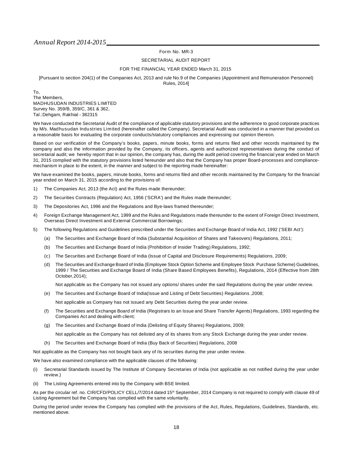#### **Form No. MR-3**

### **SECRETARIAL AUDIT REPORT**

#### FOR THE FINANCIAL YEAR ENDED March 31, 2015

[Pursuant to section 204(1) of the Companies Act, 2013 and rule No.9 of the Companies (Appointment and Remuneration Personnel) Rules, 2014]

To, The Members, Survey No. 359/B, 359/C, 361 & 362, **MADHUSUDAN INDUSTRIES LIMITED** Tal.:Dehgam, Rakhial - 382315

We have conducted the Secretarial Audit of the compliance of applicable statutory provisions and the adherence to good corporate practices by M/s. Madhusudan Industries Limited (hereinafter called the Company). Secretarial Audit was conducted in a manner that provided us a reasonable basis for evaluating the corporate conducts/statutory compliances and expressing our opinion thereon.

Based on our verification of the Company's books, papers, minute books, forms and returns filed and other records maintained by the company and also the information provided by the Company, its officers, agents and authorized representatives during the conduct of secretarial audit; we hereby report that in our opinion, the company has, during the audit period covering the financial year ended on March 31, 2015 complied with the statutory provisions listed hereunder and also that the Company has proper Board-processes and compliancemechanism in place to the extent, in the manner and subject to the reporting made hereinafter:

We have examined the books, papers, minute books, forms and returns filed and other records maintained by the Company for the financial year ended on March 31, 2015 according to the provisions of:

- 1) The Companies Act, 2013 (the Act) and the Rules made thereunder;
- 2) The Securities Contracts (Regulation) Act, 1956 ('SCRA') and the Rules made thereunder;
- 3) The Depositories Act, 1996 and the Regulations and Bye-laws framed thereunder;
- 4) Foreign Exchange Management Act, 1999 and the Rules and Regulations made thereunder to the extent of Foreign Direct Investment, Overseas Direct Investment and External Commercial Borrowings;
- 5) The following Regulations and Guidelines prescribed under the Securities and Exchange Board of India Act, 1992 ('SEBI Act'):
	- (a) The Securities and Exchange Board of India (Substantial Acquisition of Shares and Takeovers) Regulations, 2011;
	- (b) The Securities and Exchange Board of India (Prohibition of Insider Trading) Regulations, 1992;
	- (c) The Securities and Exchange Board of India (Issue of Capital and Disclosure Requirements) Regulations, 2009;
	- (d) The Securities and Exchange Board of India (Employee Stock Option Scheme and Employee Stock Purchase Scheme) Guidelines, 1999 / The Securities and Exchange Board of India (Share Based Employees Benefits), Regulations, 2014 (Effective from 28th October,2014);

Not applicable as the Company has not issued any options/ shares under the said Regulations during the year under review.

(e) The Securities and Exchange Board of India(Issue and Listing of Debt Securities) Regulations ,2008;

Not applicable as Company has not issued any Debt Securities during the year under review.

- (f) The Securities and Exchange Board of India (Registrars to an Issue and Share Transfer Agents) Regulations, 1993 regarding the Companies Act and dealing with client;
- (g) The Securities and Exchange Board of India (Delisting of Equity Shares) Regulations, 2009;

Not applicable as the Company has not delisted any of its shares from any Stock Exchange during the year under review.

(h) The Securities and Exchange Board of India (Buy Back of Securities) Regulations, 2008

Not applicable as the Company has not bought back any of its securities during the year under review.

We have also examined compliance with the applicable clauses of the following:

- (i) Secretarial Standards issued by The Institute of Company Secretaries of India (not applicable as not notified during the year under review.)
- (ii) The Listing Agreements entered into by the Company with BSE limited.

As per the circular ref. no. CIR/CFD/POLICY CELL/7/2014 dated 15<sup>th</sup> September, 2014 Company is not required to comply with clause 49 of Listing Agreement but the Company has complied with the same voluntarily.

During the period under review the Company has complied with the provisions of the Act, Rules, Regulations, Guidelines, Standards, etc. mentioned above.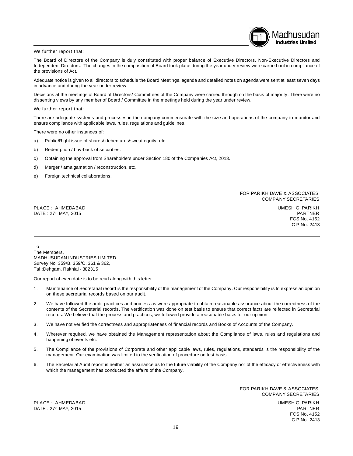#### **We further report that:**

The Board of Directors of the Company is duly constituted with proper balance of Executive Directors, Non-Executive Directors and Independent Directors. The changes in the composition of Board took place during the year under review were carried out in compliance of the provisions of Act.

Adequate notice is given to all directors to schedule the Board Meetings, agenda and detailed notes on agenda were sent at least seven days in advance and during the year under review.

Decisions at the meetings of Board of Directors/ Committees of the Company were carried through on the basis of majority. There were no dissenting views by any member of Board / Committee in the meetings held during the year under review.

#### **We further report that:**

There are adequate systems and processes in the company commensurate with the size and operations of the company to monitor and ensure compliance with applicable laws, rules, regulations and guidelines.

There were no other instances of:

- a) Public/Right issue of shares/ debentures/sweat equity, etc.
- b) Redemption / buy-back of securities.
- c) Obtaining the approval from Shareholders under Section 180 of the Companies Act, 2013.
- d) Merger / amalgamation / reconstruction, etc.
- e) Foreign technical collaborations.

# **FOR PARIKH DAVE & ASSOCIATES COMPANY SECRETARIES**

**PLACE : AHMEDABAD UMESH G. PARIKH DATE : 27<sup>th</sup> MAY, 2015** 

**FCS No. 4152 C P No. 2413**

Madhusudan **Industries Limited**

To The Members, MADHUSUDAN INDUSTRIES LIMITED Survey No. 359/B, 359/C, 361 & 362, Tal.:Dehgam, Rakhial - 382315

Our report of even date is to be read along with this letter.

- 1. Maintenance of Secretarial record is the responsibility of the management of the Company. Our responsibility is to express an opinion on these secretarial records based on our audit.
- 2. We have followed the audit practices and process as were appropriate to obtain reasonable assurance about the correctness of the contents of the Secretarial records. The vertification was done on test basis to ensure that correct facts are relfected in Secretarial records. We believe that the process and practices, we followed provide a reasonable basis for our opinion.
- 3. We have not verified the correctness and appropriateness of financial records and Books of Accounts of the Company.
- 4. Wherever required, we have obtained the Management representation about the Compliance of laws, rules and regulations and happening of events etc.
- 5. The Compliance of the provisions of Corporate and other applicable laws, rules, regulations, standards is the responsibility of the management. Our examination was limited to the verification of procedure on test basis.
- 6. The Secretarial Audit report is neither an assurance as to the future viability of the Company nor of the efficacy or effectiveness with which the management has conducted the affairs of the Company.

**FOR PARIKH DAVE & ASSOCIATES COMPANY SECRETARIES**

> **FCS No. 4152 C P No. 2413**

**PLACE : AHMEDABAD UMESH G. PARIKH DATE : 27<sup>th</sup> MAY, 2015 PARTNER**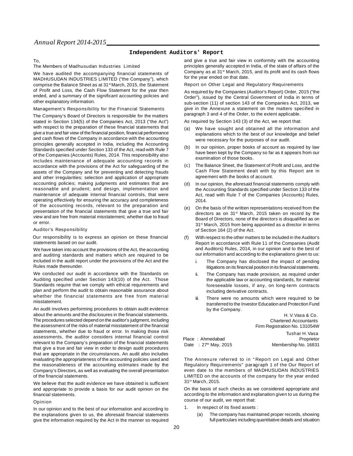#### **Independent Auditors' Report**

#### To,

#### The Members of **Madhusudan Industries Limited**

We have audited the accompanying financial statements of **MADHUSUDAN INDUSTRIES LIMITED** ("the Company"), which comprise the Balance Sheet as at 31<sup>st</sup> March, 2015, the Statement of Profit and Loss, the Cash Flow Statement for the year then ended, and a summary of the significant accounting policies and other explanatory information.

#### **Management's Responsibility for the Financial Statements**

The Company's Board of Directors is responsible for the matters stated in Section 134(5) of the Companies Act, 2013 ("the Act") with respect to the preparation of these financial statements that give a true and fair view of the financial position, financial performance and cash flows of the Company in accordance with the accounting principles generally accepted in India, including the Accounting Standards specified under Section 133 of the Act, read with Rule 7 of the Companies (Accounts) Rules, 2014. This responsibility also includes maintenance of adequate accounting records in accordance with the provisions of the Act for safeguarding of the assets of the Company and for preventing and detecting frauds and other irregularities; selection and application of appropriate accounting policies; making judgments and estimates that are reasonable and prudent; and design, implementation and maintenance of adequate internal financial controls, that were operating effectively for ensuring the accuracy and completeness of the accounting records, relevant to the preparation and presentation of the financial statements that give a true and fair view and are free from material misstatement, whether due to fraud or error.

### **Auditor's Responsibility**

Our responsibility is to express an opinion on these financial statements based on our audit.

We have taken into account the provisions of the Act, the accounting and auditing standards and matters which are required to be included in the audit report under the provisions of the Act and the Rules made thereunder.

We conducted our audit in accordance with the Standards on Auditing specified under Section 143(10) of the Act. Those Standards require that we comply with ethical requirements and plan and perform the audit to obtain reasonable assurance about whether the financial statements are free from material misstatement.

An audit involves performing procedures to obtain audit evidence about the amounts and the disclosures in the financial statements. The procedures selected depend on the auditor's judgment, including the assessment of the risks of material misstatement of the financial statements, whether due to fraud or error. In making those risk assessments, the auditor considers internal financial control relevant to the Company's preparation of the financial statements that give a true and fair view in order to design audit procedures that are appropriate in the circumstances. An audit also includes evaluating the appropriateness of the accounting policies used and the reasonableness of the accounting estimates made by the Company's Directors, as well as evaluating the overall presentation of the financial statements.

We believe that the audit evidence we have obtained is sufficient and appropriate to provide a basis for our audit opinion on the financial statements.

#### **Opinion**

In our opinion and to the best of our information and according to the explanations given to us, the aforesaid financial statements give the information required by the Act in the manner so required and give a true and fair view in conformity with the accounting principles generally accepted in India, of the state of affairs of the Company as at  $31<sup>st</sup>$  March, 2015, and its profit and its cash flows for the year ended on that date.

#### **Report on Other Legal and Regulatory Requirements**

As required by the Companies (Auditor's Report) Order, 2015 ("the Order"), issued by the Central Government of India in terms of sub-section (11) of section 143 of the Companies Act, 2013, we give in the Annexure a statement on the matters specified in paragraph 3 and 4 of the Order, to the extent applicable.

As required by Section 143 (3) of the Act, we report that:

- (a) We have sought and obtained all the information and explanations which to the best of our knowledge and belief were necessary for the purposes of our audit.
- (b) In our opinion, proper books of account as required by law have been kept by the Company so far as it appears from our examination of those books.
- (c) The Balance Sheet, the Statement of Profit and Loss, and the Cash Flow Statement dealt with by this Report are in agreement with the books of account.
- (d) In our opinion, the aforesaid financial statements comply with the Accounting Standards specified under Section 133 of the Act, read with Rule 7 of the Companies (Accounts) Rules, 2014.
- (e) On the basis of the written representations received from the directors as on 31<sup>st</sup> March, 2015 taken on record by the Board of Directors, none of the directors is disqualified as on 31<sup>st</sup> March, 2015 from being appointed as a director in terms of Section 164 (2) of the Act.
- (f) With respect to the other matters to be included in the Auditor's Report in accordance with Rule 11 of the Companies (Audit and Auditors) Rules, 2014, in our opinion and to the best of our information and according to the explanations given to us:
	- The Company has disclosed the impact of pending litigations on its financial position in its financial statements.
	- ii. The Company has made provision, as required under the applicable law or accounting standards, for material foreseeable losses, if any, on long-term contracts including derivative contracts.
	- iii. There were no amounts which were required to be transferred to the Investor Education and Protection Fund by the Company.

Chartered Accountants **H. V. Vasa & Co.** Firm Registration No. 131054W

Place : Ahmedabad Date : 27<sup>th</sup> May, 2015 **Membership No. 16831** 

**Tushar H. Vasa** Proprietor

**The Annexure referred to in "Report on Legal and Other Regulatory Requirements" paragraph 1 of the Our Report of even date to the members of MADHUSUDAN INDUSTRIES LIMITED on the accounts of the company for the year ended 31 March, 2015. st**

On the basis of such checks as we considered appropriate and according to the information and explanation given to us during the course of our audit, we report that:

- 1. In respect of its fixed assets :
	- The company has maintained proper records, showing full particulars including quantitative details and situation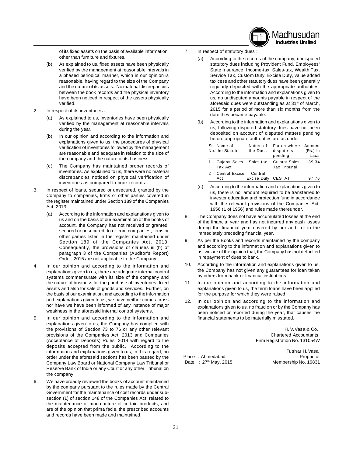

of its fixed assets on the basis of available information, other than furniture and fixtures.

- (b) As explained to us, fixed assets have been physically verified by the management at reasonable intervals in a phased periodical manner, which in our opinion is reasonable, having regard to the size of the Company and the nature of its assets. No material discrepancies between the book records and the physical inventory have been noticed in respect of the assets physically verified.
- 2. In respect of its inventories :
	- (a) As explained to us, inventories have been physically verified by the management at reasonable intervals during the year.
	- (b) In our opinion and according to the information and explanations given to us, the procedures of physical verification of inventories followed by the management are reasonable and adequate in relation to the size of the company and the nature of its business.
	- (c) The Company has maintained proper records of inventories. As explained to us, there were no material discrepancies noticed on physical verification of inventories as compared to book records.
- 3. In respect of loans, secured or unsecured, granted by the Company to companies, firms or other parties covered in the register maintained under Section 189 of the Companies Act, 2013 :
	- (a) According to the information and explanations given to us and on the basis of our examination of the books of account, the Company has not received or granted, secured or unsecured, to or from companies, firms or other parties listed in the register maintained under Section 189 of the Companies Act, 2013. Consequently, the provisions of clauses iii (b) of paragraph 3 of the Companies (Auditor's Report) Order, 2015 are not applicable to the Company.
- 4. In our opinion and according to the information and explanations given to us, there are adequate internal control systems commensurate with its size of the company and the nature of business for the purchase of inventories, fixed assets and also for sale of goods and services. Further, on the basis of our examination, and according to the information and explanations given to us, we have neither come across nor have we have been informed of any instance of major weakness in the aforesaid internal control systems.
- 5. In our opinion and according to the information and explanations given to us, the Company has complied with the provisions of Section 73 to 76 or any other relevant provisions of the Companies Act, 2013 and Companies (Acceptance of Deposits) Rules, 2014 with regard to the deposits accepted from the public. According to the information and explanations given to us, in this regard, no order under the aforesaid sections has been passed by the Company Law Board or National Company Law Tribunal or Reserve Bank of India or any Court or any other Tribunal on the company.
- 6. We have broadly reviewed the books of account maintained by the company pursuant to the rules made by the Central Government for the maintenance of cost records under subsection (1) of section 148 of the Companies Act, related to the maintenance of manufacture of certain products, and are of the opinion that prima facie, the prescribed accounts and records have been made and maintained.
- 7. In respect of statutory dues :
	- (a) According to the records of the company, undisputed statutory dues including Provident Fund, Employees' State Insurance, Income-tax, Sales-tax, Wealth Tax, Service Tax, Custom Duty, Excise Duty, value added tax cess and other statutory dues have been generally regularly deposited with the appropriate authorities. According to the information and explanations given to us, no undisputed amounts payable in respect of the aforesaid dues were outstanding as at 31<sup>st</sup> of March, 2015 for a period of more than six months from the date they became payable.
	- (b) According to the information and explanations given to us, following disputed statutory dues have not been deposited on account of disputed matters pending before appropriate authorities are as under :

| Sr. Name of<br>No. the Statute     | Nature of<br>the Dues         | Forum where<br>dispute is<br>pending | Amount<br>$(Rs.)$ In<br>Lacs |
|------------------------------------|-------------------------------|--------------------------------------|------------------------------|
| Gujarat Sales Sales-tax<br>Tax Act |                               | <b>Gujarat Sales</b><br>Tax Tribunal | 139.34                       |
| Central Excise<br>Act              | Central<br>Excise Duty CESTAT |                                      | 97.76                        |

- (c) According to the information and explanations given to us, there is no amount required to be transferred to investor education and protection fund in accordance with the relevant provisions of the Companies Act, 1956 (1 of 1956) and rules made thereunder.
- 8. The Company does not have accumulated losses at the end of the financial year and has not incurred any cash losses during the financial year covered by our audit or in the immediately preceding financial year.
- 9. As per the Books and records maintained by the company and according to the information and explanations given to us, we are of the opinion that, the Company has not defaulted in repayment of dues to bank.
- 10. According to the information and explanations given to us, the Company has not given any guarantees for loan taken by others from bank or financial institutions.
- 11. In our opinion and according to the information and explanations given to us, the term loans have been applied for the purpose for which they were raised.
- 12. In our opinion and according to the information and explanations given to us, no fraud on or by the Company has been noticed or reported during the year, that causes the financial statements to be materially misstated.

Chartered Accountants **H. V. Vasa & Co.** Firm Registration No. 131054W

Place : Ahmedabad<br>Date : 27<sup>th</sup> May, 2015

**Tushar H. Vasa Proprietor** Membership No. 16831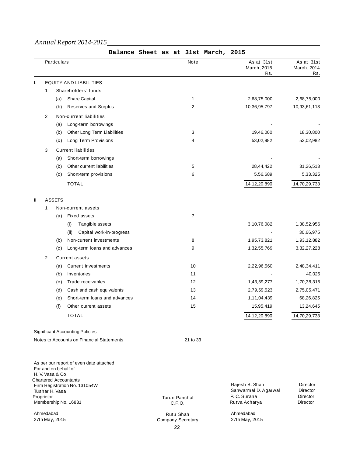|    |              |                    | Balance Sheet as at 31st March,           |  |                | 2015                             |                                  |
|----|--------------|--------------------|-------------------------------------------|--|----------------|----------------------------------|----------------------------------|
|    |              | <b>Particulars</b> |                                           |  | <b>Note</b>    | As at 31st<br>March, 2015<br>Rs. | As at 31st<br>March, 2014<br>Rs. |
| ı. |              |                    | <b>EQUITY AND LIABILITIES</b>             |  |                |                                  |                                  |
|    | 1            |                    | Shareholders' funds                       |  |                |                                  |                                  |
|    |              | (a)                | <b>Share Capital</b>                      |  | $\mathbf{1}$   | 2,68,75,000                      | 2,68,75,000                      |
|    |              | (b)                | Reserves and Surplus                      |  | $\overline{2}$ | 10,36,95,797                     | 10,93,61,113                     |
|    | $\mathbf{2}$ |                    | <b>Non-current liabilities</b>            |  |                |                                  |                                  |
|    |              | (a)                | Long-term borrowings                      |  |                |                                  |                                  |
|    |              | (b)                | Other Long Term Liabilities               |  | 3              | 19,46,000                        | 18,30,800                        |
|    |              | (c)                | <b>Long Term Provisions</b>               |  | 4              | 53,02,982                        | 53,02,982                        |
|    | 3            |                    | <b>Current liabilities</b>                |  |                |                                  |                                  |
|    |              | (a)                | Short-term borrowings                     |  |                |                                  |                                  |
|    |              | (b)                | Other current liabilities                 |  | 5              | 28,44,422                        | 31,26,513                        |
|    |              | (c)                | Short-term provisions                     |  | 6              | 5,56,689                         | 5,33,325                         |
|    |              |                    | <b>TOTAL</b>                              |  |                | 14,12,20,890                     | 14,70,29,733                     |
| Ш  |              | <b>ASSETS</b>      |                                           |  |                |                                  |                                  |
|    | 1            |                    | <b>Non-current assets</b>                 |  |                |                                  |                                  |
|    |              | (a)                | Fixed assets                              |  | $\overline{7}$ |                                  |                                  |
|    |              |                    | Tangible assets<br>(i)                    |  |                | 3,10,76,082                      | 1,38,52,956                      |
|    |              |                    | Capital work-in-progress<br>(ii)          |  |                |                                  | 30,66,975                        |
|    |              | (b)                | Non-current investments                   |  | 8              | 1,95,73,821                      | 1,93,12,882                      |
|    |              | (c)                | Long-term loans and advances              |  | 9              | 1,32,55,769                      | 3,32,27,228                      |
|    | $\mathbf{2}$ |                    | <b>Current assets</b>                     |  |                |                                  |                                  |
|    |              | (a)                | <b>Current Investments</b>                |  | 10             | 2,22,96,560                      | 2,48,34,411                      |
|    |              | (b)                | Inventories                               |  | 11             |                                  | 40,025                           |
|    |              | (c)                | Trade receivables                         |  | 12             | 1,43,59,277                      | 1,70,38,315                      |
|    |              | (d)                | Cash and cash equivalents                 |  | 13             | 2,79,59,523                      | 2,75,05,471                      |
|    |              | (e)                | Short-term loans and advances             |  | 14             | 1,11,04,439                      | 68,26,825                        |
|    |              | (f)                | Other current assets                      |  | 15             | 15,95,419                        | 13,24,645                        |
|    |              |                    | <b>TOTAL</b>                              |  |                | 14, 12, 20, 890                  | 14,70,29,733                     |
|    |              |                    | <b>Significant Accounting Policies</b>    |  |                |                                  |                                  |
|    |              |                    | Notes to Accounts on Financial Statements |  | 21 to 33       |                                  |                                  |

As per our report of even date attached For and on behalf of Chartered Accountants **H. V. Vasa & Co.** Firm Registration No. 131054W Proprietor **Tushar H. Vasa** Membership No. 16831

Ahmedabad 27th May, 2015 **Tarun Panchal** C.F.O.

**Rajesh B. Shah Sanwarmal D. Agarwal P. C. Surana Rutva Acharya**

Director Director Director Director

Ahmedabad 27th May, 2015

**Rutu Shah**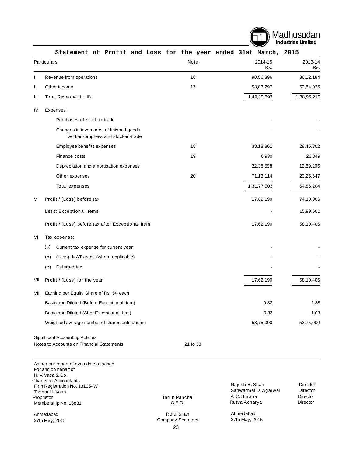

|     | Statement of Profit and Loss for the year ended 31st March,                                                           |                                |                                                                         | 2015                                                |
|-----|-----------------------------------------------------------------------------------------------------------------------|--------------------------------|-------------------------------------------------------------------------|-----------------------------------------------------|
|     | <b>Particulars</b>                                                                                                    | <b>Note</b>                    | 2014-15<br>Rs.                                                          | 2013-14<br>Rs.                                      |
| ı   | Revenue from operations                                                                                               | 16                             | 90,56,396                                                               | 86,12,184                                           |
| Ш   | Other income                                                                                                          | 17                             | 58,83,297                                                               | 52,84,026                                           |
| Ш   | Total Revenue (I + II)                                                                                                |                                | 1,49,39,693                                                             | 1,38,96,210                                         |
| IV  | Expenses :                                                                                                            |                                |                                                                         |                                                     |
|     | Purchases of stock-in-trade                                                                                           |                                |                                                                         |                                                     |
|     | Changes in inventories of finished goods,<br>work-in-progress and stock-in-trade                                      |                                |                                                                         |                                                     |
|     | Employee benefits expenses                                                                                            | 18                             | 38,18,861                                                               | 28,45,302                                           |
|     | Finance costs                                                                                                         | 19                             | 6,930                                                                   | 26,049                                              |
|     | Depreciation and amortisation expenses                                                                                |                                | 22,38,598                                                               | 12,89,206                                           |
|     | Other expenses                                                                                                        | 20                             | 71,13,114                                                               | 23,25,647                                           |
|     | <b>Total expenses</b>                                                                                                 |                                | 1,31,77,503                                                             | 64,86,204                                           |
| ۷   | Profit / (Loss) before tax                                                                                            |                                | 17,62,190                                                               | 74,10,006                                           |
|     | <b>Less: Exceptional Items</b>                                                                                        |                                |                                                                         | 15,99,600                                           |
|     | Profit / (Loss) before tax after Exceptional Item                                                                     |                                | 17,62,190                                                               | 58,10,406                                           |
| VI  | Tax expense:                                                                                                          |                                |                                                                         |                                                     |
|     | Current tax expense for current year<br>(a)                                                                           |                                |                                                                         |                                                     |
|     | (b)<br>(Less): MAT credit (where applicable)                                                                          |                                |                                                                         |                                                     |
|     | Deferred tax<br>(c)                                                                                                   |                                |                                                                         |                                                     |
| VII | Profit / (Loss) for the year                                                                                          |                                | 17,62,190                                                               | 58,10,406                                           |
|     | VIII Earning per Equity Share of Rs. 5/- each                                                                         |                                |                                                                         |                                                     |
|     | Basic and Diluted (Before Exceptional Item)                                                                           |                                | 0.33                                                                    | 1.38                                                |
|     | Basic and Diluted (After Exceptional Item)                                                                            |                                | 0.33                                                                    | 1.08                                                |
|     | Weighted average number of shares outstanding                                                                         |                                | 53,75,000                                                               | 53,75,000                                           |
|     | <b>Significant Accounting Policies</b><br>Notes to Accounts on Financial Statements                                   | 21 to 33                       |                                                                         |                                                     |
|     | As per our report of even date attached<br>For and on behalf of<br>H. V. Vasa & Co.                                   |                                |                                                                         |                                                     |
|     | <b>Chartered Accountants</b><br>Firm Registration No. 131054W<br>Tushar H. Vasa<br>Proprietor<br>Membership No. 16831 | <b>Tarun Panchal</b><br>C.F.O. | Rajesh B. Shah<br>Sanwarmal D. Agarwal<br>P. C. Surana<br>Rutva Acharya | <b>Director</b><br>Director<br>Director<br>Director |

Company Secretary **Rutu Shah**

C.F.O.

Ahmedabad 27th May, 2015

Membership No. 16831

Ahmedabad 27th May, 2015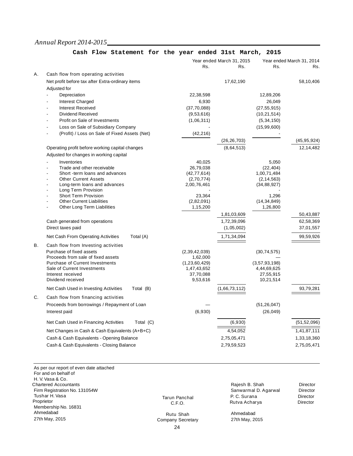|    | Cash Flow Statement for the year ended 31st March,                           |                              |                                  | 2015                            |                                  |
|----|------------------------------------------------------------------------------|------------------------------|----------------------------------|---------------------------------|----------------------------------|
|    |                                                                              | Rs.                          | Year ended March 31, 2015<br>Rs. | Rs.                             | Year ended March 31, 2014<br>Rs. |
| Α. | Cash flow from operating activities                                          |                              |                                  |                                 |                                  |
|    | Net profit before tax after Extra-ordinary items                             |                              | 17,62,190                        |                                 | 58,10,406                        |
|    | Adjusted for                                                                 |                              |                                  |                                 |                                  |
|    | Depreciation                                                                 | 22,38,598                    |                                  | 12,89,206                       |                                  |
|    | Interest Charged                                                             | 6,930                        |                                  | 26,049                          |                                  |
|    | <b>Interest Received</b>                                                     | (37, 70, 088)                |                                  | (27, 55, 915)                   |                                  |
|    | Dividend Received                                                            | (9,53,616)                   |                                  | (10, 21, 514)                   |                                  |
|    | Profit on Sale of Investments                                                | (1,06,311)                   |                                  | (5, 34, 150)                    |                                  |
|    | Loss on Sale of Subsidiary Company                                           |                              |                                  | (15,99,600)                     |                                  |
|    | (Profit) / Loss on Sale of Fixed Assets (Net)                                | (42, 216)                    |                                  |                                 |                                  |
|    |                                                                              |                              | (26, 26, 703)                    |                                 | (45, 95, 924)                    |
|    | Operating profit before working capital changes                              |                              | (8, 64, 513)                     |                                 | 12,14,482                        |
|    | Adjusted for changes in working capital                                      |                              |                                  |                                 |                                  |
|    | Inventories                                                                  | 40,025                       |                                  | 5,050                           |                                  |
|    | Trade and other receivable                                                   | 26,79,038                    |                                  | (22, 404)                       |                                  |
|    | Short -term loans and advances<br><b>Other Current Assets</b>                | (42, 77, 614)                |                                  | 1,00,71,484                     |                                  |
|    | Long-term loans and advances                                                 | (2,70,774)<br>2,00,76,461    |                                  | (2, 14, 563)<br>(34, 88, 927)   |                                  |
|    | Long Term Provision                                                          |                              |                                  |                                 |                                  |
|    | <b>Short Term Provision</b>                                                  | 23,364                       |                                  | 1,296                           |                                  |
|    | <b>Other Current Liabilities</b>                                             | (2,82,091)                   |                                  | (14, 34, 849)                   |                                  |
|    | Other Long Term Liabilities                                                  | 1,15,200                     |                                  | 1,26,800                        |                                  |
|    |                                                                              |                              | 1,81,03,609                      |                                 | 50,43,887                        |
|    | Cash generated from operations                                               |                              | 1,72,39,096                      |                                 | 62,58,369                        |
|    | Direct taxes paid                                                            |                              | (1,05,002)                       |                                 | 37,01,557                        |
|    | Total (A)<br>Net Cash From Operating Activities                              |                              | 1,71,34,094                      |                                 | 99,59,926                        |
| В. | Cash flow from Investing activities                                          |                              |                                  |                                 |                                  |
|    | Purchase of fixed assets                                                     | (2,39,42,039)                |                                  | (30, 74, 575)                   |                                  |
|    | Proceeds from sale of fixed assets<br><b>Purchase of Current Investments</b> | 1,62,000                     |                                  |                                 |                                  |
|    | Sale of Current Investments                                                  | (1,23,60,429)<br>1,47,43,652 |                                  | (3, 57, 93, 198)<br>4,44,69,625 |                                  |
|    | Interest received                                                            | 37,70,088                    |                                  | 27,55,915                       |                                  |
|    | Dividend received                                                            | 9,53,616                     |                                  | 10,21,514                       |                                  |
|    | Net Cash Used in Investing Activities<br>Total (B)                           |                              | (1,66,73,112)                    |                                 | 93,79,281                        |
| C. | Cash flow from financing activities                                          |                              |                                  |                                 |                                  |
|    | Proceeds from borrowings / Repayment of Loan                                 |                              |                                  | (51, 26, 047)                   |                                  |
|    | Interest paid                                                                | (6,930)                      |                                  | (26, 049)                       |                                  |
|    | Net Cash Used in Financing Activities<br>Total (C)                           |                              | (6,930)                          |                                 | (51, 52, 096)                    |
|    | Net Changes in Cash & Cash Equivalents (A+B+C)                               |                              | 4,54,052                         |                                 | 1,41,87,111                      |
|    | Cash & Cash Equivalents - Opening Balance                                    |                              | 2,75,05,471                      |                                 | 1,33,18,360                      |
|    | Cash & Cash Equivalents - Closing Balance                                    |                              | 2,79,59,523                      |                                 | 2,75,05,471                      |

As per our report of even date attached For and on behalf of Chartered Accountants **H. V. Vasa & Co.** Firm Registration No. 131054W Proprietor **Tushar H. Vasa** Membership No. 16831 Ahmedabad 27th May, 2015

C.F.O. **Tarun Panchal**

**24** Company Secretary **Rutu Shah**

Director Director Director Director **Rajesh B. Shah Sanwarmal D. Agarwal P. C. Surana Rutva Acharya**

Ahmedabad 27th May, 2015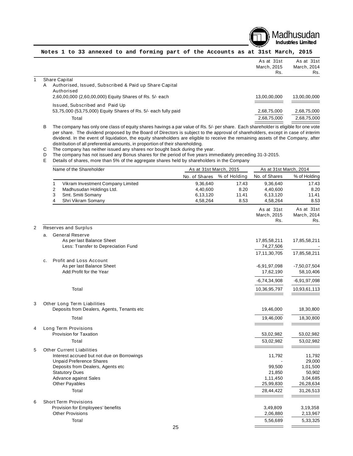

#### **Notes 1 to 33 annexed to and forming part of the Accounts as at 31st March, 2015**

|                                                                | As at 31st<br><b>March, 2015</b><br>Rs. | As at 31st<br><b>March, 2014</b><br>Rs. |
|----------------------------------------------------------------|-----------------------------------------|-----------------------------------------|
| <b>Share Capital</b>                                           |                                         |                                         |
| Authorised, Issued, Subscribed & Paid up Share Capital<br>A    |                                         |                                         |
| Authorised                                                     |                                         |                                         |
| 2,60,00,000 (2,60,00,000) Equity Shares of Rs. 5/- each        | 13,00,00,000                            | 13.00.00.000                            |
| <b>Issued, Subscribed and Paid Up</b>                          |                                         |                                         |
| 53,75,000 (53,75,000) Equity Shares of Rs. 5/- each fully paid | 2,68,75,000                             | 2,68,75,000                             |
| <b>Total</b>                                                   | 2,68,75,000                             | 2,68,75,000                             |

B The company has only one class of equity shares havings a par value of Rs. 5/- per share. Each shareholder is eligible for one vote per share. The dividend proposed by the Board of Directors is subject to the approval of shareholders, except in case of interim dividend. In the event of liquidation, the equity shareholders are eligible to receive the remaining assets of the Company, after distribution of all preferential amounts, in proportion of their shareholding.

C The company has neither issued any shares nor bought back during the year.

D The company has not issued any Bonus shares for the period of five years immediately preceding 31-3-2015.

E Details of shares, more than 5% of the aggregate shares held by shareholders in the Company

|                | Name of the Shareholder                                                                          | As at 31st March, 2015 |              | As at 31st March, 2014                  |                                         |
|----------------|--------------------------------------------------------------------------------------------------|------------------------|--------------|-----------------------------------------|-----------------------------------------|
|                |                                                                                                  | No. of Shares          | % of Holding | No. of Shares                           | % of Holding                            |
|                | Vikram Investment Company Limited<br>1                                                           | 9,36,640               | 17.43        | 9,36,640                                | 17.43                                   |
|                | 2<br>Madhusudan Holdings Ltd.                                                                    | 4,40,600               | 8.20         | 4,40,600                                | 8.20                                    |
|                | 3<br>Smt. Smiti Somany                                                                           | 6,13,120               | 11.41        | 6,13,120                                | 11.41                                   |
|                | Shri Vikram Somany<br>4                                                                          | 4,58,264               | 8.53         | 4,58,264                                | 8.53                                    |
|                |                                                                                                  |                        |              | As at 31st<br><b>March, 2015</b><br>Rs. | As at 31st<br><b>March, 2014</b><br>Rs. |
| $\overline{2}$ | <b>Reserves and Surplus</b>                                                                      |                        |              |                                         |                                         |
|                | <b>General Reserve</b><br>a.<br>As per last Balance Sheet<br>Less: Transfer to Depreciation Fund |                        |              | 17,85,58,211<br>74,27,506               | 17,85,58,211                            |
|                |                                                                                                  |                        |              | 17,11,30,705                            | 17,85,58,211                            |
|                | <b>Profit and Loss Account</b><br>c.<br>As per last Balance Sheet<br>Add: Profit for the Year    |                        |              | $-6,91,97,098$<br>17,62,190             | $-7,50,07,504$<br>58,10,406             |
|                |                                                                                                  |                        |              | -6,74,34,908                            | -6,91,97,098                            |
|                | Total                                                                                            |                        |              | 10,36,95,797                            | 10,93,61,113                            |
| 3              | <b>Other Long Term Liabilities</b>                                                               |                        |              |                                         |                                         |
|                | Deposits from Dealers, Agents, Tenants etc                                                       |                        |              | 19,46,000                               | 18,30,800                               |
|                | Total                                                                                            |                        |              | 19,46,000                               | 18,30,800                               |
| 4              | <b>Long Term Provisions</b><br><b>Provision for Taxation</b>                                     |                        |              | 53,02,982                               | 53,02,982                               |
|                | Total                                                                                            |                        |              | 53,02,982                               | 53,02,982                               |
| 5              | <b>Other Current Liabilities</b><br>Interest accrued but not due on Borrowings                   |                        |              | 11,792                                  | 11,792                                  |
|                | <b>Unpaid Preference Shares</b>                                                                  |                        |              |                                         | 29,000                                  |
|                | Deposits from Dealers, Agents etc                                                                |                        |              | 99,500                                  | 1,01,500                                |
|                | <b>Statutory Dues</b>                                                                            |                        |              | 21,850                                  | 50,902                                  |
|                | Advance against Sales                                                                            |                        |              | 1,11,450                                | 3,04,685                                |
|                | Other Payables                                                                                   |                        |              | 25,99,830                               | 26,28,634                               |
|                | Total                                                                                            |                        |              | 28,44,422                               | 31,26,513                               |
| 6              | <b>Short Term Provisions</b>                                                                     |                        |              |                                         |                                         |
|                | Provision for Employees' benefits                                                                |                        |              | 3,49,809                                | 3,19,358                                |
|                | <b>Other Provisions</b>                                                                          |                        |              | 2,06,880                                | 2,13,967                                |
|                | Total                                                                                            |                        |              | 5,56,689                                | 5,33,325                                |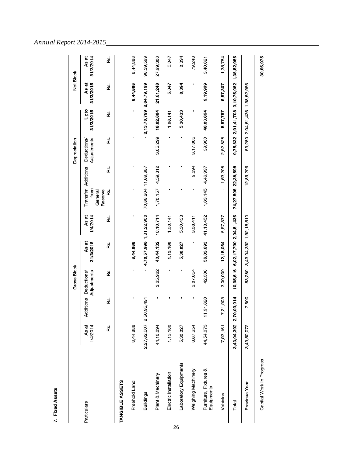| ؽ |
|---|
|   |
| Ξ |
| ţ |
|   |
|   |
|   |
|   |

|                                     |                    |           | <b>Gross Block</b>         |                           |                   |                                                  |              | Depreciation               |                                              | Net Block          |                    |
|-------------------------------------|--------------------|-----------|----------------------------|---------------------------|-------------------|--------------------------------------------------|--------------|----------------------------|----------------------------------------------|--------------------|--------------------|
| <b>Particulars</b>                  | As at<br>1/4/2014  | Additions | Adjustments<br>Deductions/ | As at<br>31/3/2015        | As at<br>1/4/2014 | Transfer Additions<br>from<br>Reserve<br>General |              | Adjustments<br>Deductions/ | Upto<br>31/3/2015                            | As at<br>31/3/2015 | As at<br>31/3/2014 |
|                                     | å<br>R             | ድ<br>ኢ    | å<br>S                     | å<br>S                    | Rs.               | 2s                                               | Ρŝ           | R3                         | ድ<br>ኢ                                       | Rs                 | Rs.                |
| TANGIBLE ASSETS                     |                    |           |                            |                           |                   |                                                  |              |                            |                                              |                    |                    |
| Freehold Land                       | 8,44,888           | t         | í,                         | 8,44,888                  |                   | ï                                                | ï            | ı                          | $\mathbf{I}$                                 | 8,44,888           | 8,44,888           |
| <b>Buildings</b>                    | 2,27,62,507 2,50,9 | 15,491    | ï                          | 4,78,57,998 1,31,22,908   |                   | 70,86,204 11,69,687                              |              |                            | 2, 13, 78, 799 2, 64, 79, 199                |                    | 96,39,599          |
| Plant & Machinery                   | 44,10,094          |           | 3,65,962                   | 40,44,132                 | 16, 10, 714       | 1,78,157                                         | 4,59,312     | 3,65,299                   | 18,82,884                                    | 21, 61, 248        | 27,99,380          |
| Electric Installation               | 1,13,188           |           |                            | 1,13,188                  | 1,08,141          |                                                  |              |                            | 1,08,141                                     | 5,047              | 5,047              |
| Laboratory Equipments               | 5,38,827           |           | t                          | 5,38,827                  | 5,30,433          |                                                  |              |                            | 5,30,433                                     | 8,394              | 8,394              |
| Weighing Machinery                  | 3,87,654           |           | 3,87,654                   |                           | 3,08,411          |                                                  | 9,394        | 3,17,805                   |                                              |                    | 79,243             |
| Furniture, Fixtures &<br>Equipments | 44,54,073          | 11,91,620 | 42,000                     | 56,03,693                 | 41, 13, 452       | 1,63,145                                         | 4,46,997     | 39,900                     | 46,83,694                                    | 9,19,999           | 3,40,621           |
| Vehicles                            | 7,93,161           | 7,21,903  | 3,00,000                   | 12, 15, 064               | 6,57,377          | í.                                               | 1,53,208     | 2,52,828                   | 5,57,757                                     | 6,57,307           | 1,35,784           |
| Total                               | 3,43,04,392 2,70,0 | 9,014     | 10,95,616                  | 6,02,17,790 2,04,51,436   |                   | 74,27,506 22,38,598                              |              |                            | 9,75,832 2,91,41,708 3,10,76,082 1,38,52,956 |                    |                    |
| Previous Year                       | 3,43,50,072        | 7,600     | 53,280                     | $3,43,04,392$ 1,92,15,510 |                   |                                                  | $-12,89,206$ | 53,280                     | 2,04,51,436 1,38,52,956                      |                    |                    |
|                                     |                    |           |                            |                           |                   |                                                  |              |                            |                                              |                    |                    |

Capital Work In Progress

30,66,975

**26**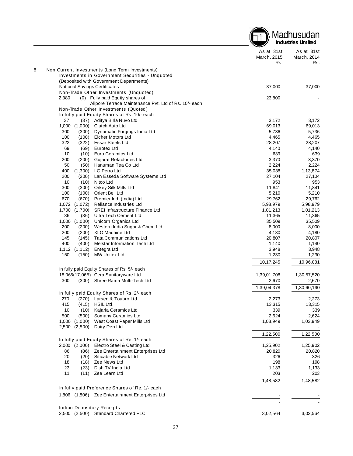|   |             |                        |                                                                                     |                                         | Madhusudan<br><b>Industries Limited</b> |
|---|-------------|------------------------|-------------------------------------------------------------------------------------|-----------------------------------------|-----------------------------------------|
|   |             |                        |                                                                                     | As at 31st<br><b>March, 2015</b><br>Rs. | As at 31st<br><b>March, 2014</b><br>Rs. |
| 8 |             |                        | Non Current Investments (Long Term Investments)                                     |                                         |                                         |
|   |             |                        | <b>Investments in Government Securities - Unquoted</b>                              |                                         |                                         |
|   |             |                        | (Deposited with Government Departments)                                             |                                         |                                         |
|   |             |                        | <b>National Savings Certificates</b><br>Non-Trade Other Investments (Unquoted)      | 37,000                                  | 37,000                                  |
|   | 2,380       |                        | (0) Fully paid Equity shares of                                                     | 23,800                                  |                                         |
|   |             |                        | Alipore Terrace Maintenance Pvt. Ltd of Rs. 10/- each                               |                                         |                                         |
|   |             |                        | Non-Trade Other Investments (Quoted)                                                |                                         |                                         |
|   |             |                        | In fully paid Equity Shares of Rs. 10/- each                                        |                                         |                                         |
|   | 37<br>1,000 | (1,000)                | (37) Aditya Birla Nuvo Ltd<br>Clutch Auto Ltd                                       | 3,172                                   | 3,172                                   |
|   | 300         | (300)                  | Dynamatic Forgings India Ltd                                                        | 69,013<br>5,736                         | 69,013<br>5,736                         |
|   | 100         |                        | (100) Eicher Motors Ltd                                                             | 4,465                                   | 4,465                                   |
|   | 322         | (322)                  | <b>Essar Steels Ltd</b>                                                             | 28,207                                  | 28,207                                  |
|   | 69          |                        | (69) Eurotex Ltd                                                                    | 4,140                                   | 4,140                                   |
|   | 10          | (10)                   | Euro Ceramics Ltd                                                                   | 639                                     | 639                                     |
|   | 200         |                        | (200) Gujarat Refactories Ltd                                                       | 3,370                                   | 3,370                                   |
|   | 50          |                        | (50) Hanuman Tea Co Ltd                                                             | 2,224                                   | 2,224                                   |
|   | 400<br>200  | (1,300)<br>(200)       | I G Petro Ltd<br>Lan Esseda Software Systems Ltd                                    | 35,038<br>27,104                        | 1,13,874<br>27,104                      |
|   | 10          | (10)                   | Nitco Ltd                                                                           | 953                                     | 953                                     |
|   | 300         | (300)                  | Orkey Silk Mills Ltd                                                                | 11,841                                  | 11,841                                  |
|   | 100         | (100)                  | Orient Bell Ltd                                                                     | 5,210                                   | 5,210                                   |
|   | 670         | (670)                  | Premier Ind. (India) Ltd                                                            | 29,762                                  | 29,762                                  |
|   | 1,072       | (1,072)                | Reliance Industries Ltd                                                             | 5,98,979                                | 5,98,979                                |
|   | 1,700<br>36 | (1,700)<br>(36)        | <b>SREI Infrastructure Finance Ltd</b><br>Ultra Tech Cement Ltd                     | 1,01,213<br>11,365                      | 1,01,213<br>11,365                      |
|   | 1,000       | (1,000)                | Unicorn Organics Ltd                                                                | 35,509                                  | 35,509                                  |
|   | 200         | (200)                  | Western India Sugar & Chem Ltd                                                      | 8,000                                   | 8,000                                   |
|   | 200         | (200)                  | XLO Machine Ltd                                                                     | 4,180                                   | 4,180                                   |
|   | 145         | (145)                  | <b>Tata Communications Ltd</b>                                                      | 20,807                                  | 20,807                                  |
|   | 400         | (400)                  | Melstar Information Tech Ltd                                                        | 1,140                                   | 1,140                                   |
|   | 150         | 1,112 (1,112)<br>(150) | Entegra Ltd<br><b>MW Unitex Ltd</b>                                                 | 3,948<br>1,230                          | 3,948<br>1,230                          |
|   |             |                        |                                                                                     |                                         |                                         |
|   |             |                        |                                                                                     | 10,17,245                               | 10,96,081                               |
|   |             |                        | In fully paid Equity Shares of Rs. 5/- each<br>18,065(17,065) Cera Sanitaryware Ltd | 1,39,01,708                             | 1,30,57,520                             |
|   | 300         |                        | (300) Shree Rama Multi-Tech Ltd                                                     | 2,670                                   | 2,670                                   |
|   |             |                        |                                                                                     | 1,39,04,378                             | 1,30,60,190                             |
|   |             |                        | In fully paid Equity Shares of Rs. 2/- each                                         |                                         |                                         |
|   | 270         |                        | (270) Larsen & Toubro Ltd                                                           | 2,273                                   | 2,273                                   |
|   | 415         |                        | (415) HSIL Ltd.                                                                     | 13,315                                  | 13,315                                  |
|   | 10<br>500   | (10)<br>(500)          | Kajaria Ceramics Ltd<br>Somany Ceramics Ltd                                         | 339<br>2,624                            | 339<br>2,624                            |
|   | 1,000       | (1,000)                | West Coast Paper Mills Ltd                                                          | 1,03,949                                | 1,03,949                                |
|   |             | 2,500 (2,500)          | Dairy Den Ltd                                                                       |                                         |                                         |
|   |             |                        |                                                                                     | 1,22,500                                | 1,22,500                                |
|   |             |                        | In fully paid Equity Shares of Re. 1/- each                                         |                                         |                                         |
|   |             | 2,000 (2,000)          | Electro Steel & Casting Ltd                                                         | 1,25,902                                | 1,25,902                                |
|   | 86<br>20    | (86)                   | Zee Entertainment Enterprises Ltd<br>(20) Siticable Network Ltd                     | 20,820<br>326                           | 20,820<br>326                           |
|   | 18          |                        | (18) Zee News Ltd                                                                   | 198                                     | 198                                     |
|   | 23          |                        | (23) Dish TV India Ltd                                                              | 1,133                                   | 1,133                                   |
|   | 11          |                        | (11) Zee Learn Ltd                                                                  | 203                                     | 203                                     |
|   |             |                        |                                                                                     | 1,48,582                                | 1,48,582                                |
|   |             |                        | In fully paid Preference Shares of Re. 1/- each                                     |                                         |                                         |
|   |             |                        | 1,806 (1,806) Zee Entertainment Enterprises Ltd                                     |                                         |                                         |
|   |             |                        |                                                                                     |                                         |                                         |
|   |             |                        | <b>Indian Depository Receipts</b><br>2,500 (2,500) Standard Chartered PLC           | 3,02,564                                | 3,02,564                                |
|   |             |                        |                                                                                     |                                         |                                         |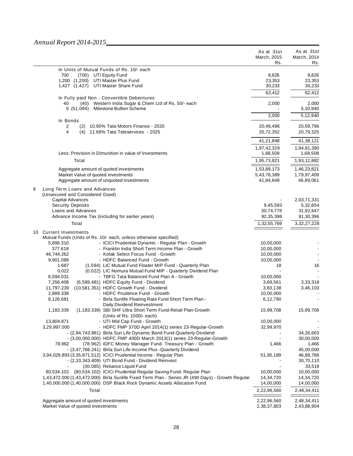|                                                                                                                                             | As at 31st<br>March, 2015<br>Rs. | As at 31st<br><b>March, 2014</b><br>Rs. |
|---------------------------------------------------------------------------------------------------------------------------------------------|----------------------------------|-----------------------------------------|
| In Units of Mutual Funds of Rs. 10/- each                                                                                                   |                                  |                                         |
| 700<br>(700) UTI Equity Fund                                                                                                                | 8,826                            | 8,826                                   |
| 1,200 (1,200)<br>UTI Master Plus Fund                                                                                                       | 23,353                           | 23,353                                  |
| UTI Master Share Fund<br>1,427 (1,427)                                                                                                      | 30,233                           | 30,233                                  |
|                                                                                                                                             | 62,412                           | 62,412                                  |
| In Fully paid Non - Convertible Debentures<br>(40) Western India Sugar & Chem Ltd of Rs. 50/- each<br>40                                    | 2,000                            | 2,000                                   |
| Milestone Bullion Scheme<br>0(51,094)                                                                                                       |                                  | 5,10,940                                |
|                                                                                                                                             | 2,000                            | 5,12,940                                |
| In Bonds                                                                                                                                    |                                  |                                         |
| 10.90% Tata Motors Finance - 2020<br>2<br>(2)<br>4<br>11.69% Tata Teleservices - 2025<br>(4)                                                | 20,49,496                        | 20,59,796                               |
|                                                                                                                                             | 20,72,352                        | 20,79,325                               |
|                                                                                                                                             | 41,21,848                        | 41,39,121                               |
|                                                                                                                                             | 1,97,42,329                      | 1,94,81,390                             |
| Less: Provision in Dimunition in value of Investments                                                                                       | 1,68,508                         | 1,68,508                                |
| Total                                                                                                                                       | 1,95,73,821                      | 1,93,12,882                             |
| Aggregate amount of quoted investments                                                                                                      | 1,53,89,173                      | 1,46,23,821                             |
| Market Value of quoted investments                                                                                                          | 5,43,78,389                      | 1,79,97,409                             |
| Aggregate amount of unquoted investments                                                                                                    | 41,84,648                        | 46,89,061                               |
| 9<br>Long Term Loans and Advances                                                                                                           |                                  |                                         |
| (Unsecured and Considered Good)<br><b>Capital Advances</b>                                                                                  |                                  | 2,03,71,331                             |
| <b>Security Deposits</b>                                                                                                                    | 9,45,593                         | 5,32,854                                |
| Loans and Advances                                                                                                                          | 30,74,778                        | 31,92,647                               |
| Advance Income Tax (including for earlier years)                                                                                            | 92,35,398                        | 91,30,396                               |
| Total                                                                                                                                       | 1,32,55,769                      | 3,32,27,228                             |
| 10 Current Investments                                                                                                                      |                                  |                                         |
| Mutual Funds (Units of Rs. 10/- each, unless otherwise specified)                                                                           |                                  |                                         |
| - ICICI Prudential Dynamic - Regular Plan - Growth<br>5,896.310                                                                             | 10,00,000                        |                                         |
| 377.618<br>- Franklin India Short Term Income Plan - Growth                                                                                 | 10,00,000                        |                                         |
| - Kotak Select Focus Fund - Growth<br>46,744.262<br>9,901.088<br>- HDFC Balanced Fund - Growth                                              | 10,00,000<br>10,00,000           |                                         |
| 1.687<br>(1.594) LIC Mutual Fund Floater MIP Fund - Quarterly Plan                                                                          | 18                               | 16                                      |
| 0.022<br>(0.022) LIC Nomura Mutual Fund MIP - Quarterly Dividend Plan                                                                       |                                  |                                         |
| 6,594.031<br>- TBFG Tata Balanced Fund Plan A - Growth                                                                                      | 10,00,000                        |                                         |
| (6,589.481) HDFC Equity Fund - Dividend<br>7,256.408                                                                                        | 3,69,561                         | 3,33,318                                |
| (10,581.351) HDFC Growth Fund - Dividend<br>11,797.239                                                                                      | 3,83,138                         | 3,46,103                                |
| 2,889.338<br>- HDFC Prudence Fund - Growth                                                                                                  | 10,00,000                        |                                         |
| - Birla Sunlife Floating Rate Fund Short Term Plan -<br>6,126.681<br>Daily Dividend Reinvestment                                            | 6,12,790                         |                                         |
| (1,183.339) SBI SHF Ultra Short Term Fund-Retail Plan-Growth<br>1,183.339                                                                   | 15,99,708                        | 15,99,708                               |
| (Units of Rs. 1000/- each)                                                                                                                  |                                  |                                         |
| - UTI Mid Cap Fund - Growth<br>13,804.871                                                                                                   | 10,00,000                        |                                         |
| - HDFC FMP 370D April 2014(1) series 23-Regular-Growth<br>3,29,997.000                                                                      | 32,99,970                        |                                         |
| - (2,94,743.881) Birla Sun Life Dynamic Bond Fund-Quarterly Dividend                                                                        |                                  | 34,26,663                               |
| - (3,00,000.000) HDFC FMP 400D March 2013(1) series 23-Regular-Growth<br>(78.962) IDFC Money Manager Fund- Treasury Plan - Growth<br>78.962 |                                  | 30,00,000                               |
| - (3,47,786.241) Birla Sun Life Income Plus - Quarterly Dividend                                                                            | 1,466                            | 1,466<br>45,00,000                      |
| 3,94,029.893 (3,35,871.512) ICICI Prudential Income - Regular Plan                                                                          | 51,95,189                        | 46,88,788                               |
| - (2,33,343.409) UTI Bond Fund - Dividend Reinvest                                                                                          |                                  | 30,70,110                               |
| (30.085) Reliance Liquid Fund                                                                                                               |                                  | 33,519                                  |
| 80,534.102 (80,534.102) ICICI Prudential Regular Saving Fund- Regular Plan                                                                  | 10,00,000                        | 10,00,000                               |
| 1,43,472.000 (1,43,472.000) Birla Sunlife Fixed Term Plan - Series JR (490 Days) - Growth Regular                                           | 14,34,720                        | 14,34,720                               |
| 1,40,000.000 (1,40,000.000) DSP Black Rock Dynamic Assets Allocation Fund                                                                   | 14,00,000                        | 14,00,000                               |
| Total                                                                                                                                       | 2,22,96,560                      | 2,48,34,411                             |
| Aggregate amount of quoted investments                                                                                                      | 2,22,96,560                      | 2,48,34,411                             |
| Market Value of quoted investments                                                                                                          | 2,38,37,803                      | 2,43,88,904                             |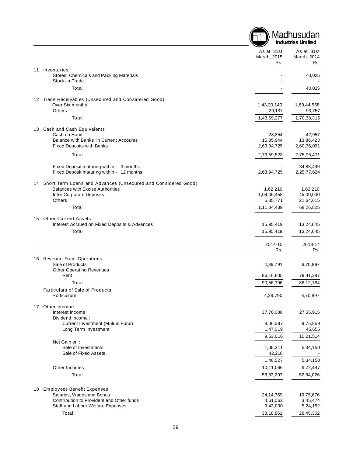|    |                                                                        |                                  | Madhusudan<br><b>Industries Limited</b> |
|----|------------------------------------------------------------------------|----------------------------------|-----------------------------------------|
|    |                                                                        | As at 31st<br>March, 2015<br>Rs. | As at 31st<br><b>March, 2014</b><br>Rs. |
| 11 | Inventories                                                            |                                  |                                         |
|    | Stores, Chemicals and Packing Materials<br>Stock-in-Trade              |                                  | 40,025                                  |
|    | <b>Total</b>                                                           |                                  | 40,025                                  |
|    | 12 Trade Receivables (Unsecured and Considered Good)                   |                                  |                                         |
|    | Over Six months<br><b>Others</b>                                       | 1,43,30,140<br>29,137            | 1,69,44,558<br>93,757                   |
|    | Total                                                                  | 1,43,59,277                      | 1,70,38,315                             |
|    |                                                                        |                                  |                                         |
|    | 13 Cash and Cash Equivalents<br>Cash on Hand                           | 28,854                           | 42,957                                  |
|    | Balance with Banks in Current Accounts                                 | 15,35,944                        | 13,86,423                               |
|    | <b>Fixed Deposits with Banks</b>                                       | 2,63,94,725                      | 2,60,76,091                             |
|    | Total                                                                  | 2,79,59,523                      | 2,75,05,471                             |
|    | Fixed Deposit maturing within - 3 months                               |                                  | 34,83,499                               |
|    | Fixed Deposit maturing within - 12 months                              | 2,63,94,725                      | 2,25,77,624                             |
|    | 14 Short Term Loans and Advances (Unsecured and Considered Good)       |                                  |                                         |
|    | <b>Balances with Excise Authorities</b><br>Inter Corporate Deposits    | 1,62,210<br>1,04,06,458          | 1,62,210<br>45,00,000                   |
|    | Others                                                                 | 5,35,771                         | 21,64,615                               |
|    | <b>Total</b>                                                           | 1,11,04,439                      | 68,26,825                               |
| 15 | <b>Other Current Assets</b>                                            |                                  |                                         |
|    | Interest Accrued on Fixed Deposits & Advances                          | 15,95,419                        | 13,24,645                               |
|    | Total                                                                  | 15,95,419                        | 13,24,645                               |
|    |                                                                        | 2014-15<br>Rs.                   | 2013-14<br>Rs.                          |
|    | 16 Revenue From Operations                                             |                                  |                                         |
|    | Sale of Products                                                       | 4,39,791                         | 6,70,897                                |
|    | <b>Other Operating Revenues</b><br>Rent                                | 86,16,605                        | 79,41,287                               |
|    | Total                                                                  | 90,56,396                        | 86,12,184                               |
|    | <b>Particulars of Sale of Products</b>                                 |                                  |                                         |
|    | Horticulture                                                           | 4,39,790                         | 6,70,897                                |
| 17 | Other Income                                                           |                                  |                                         |
|    | Interest Income<br>Dividend Income:                                    | 37,70,088                        | 27,55,915                               |
|    | Current Investment (Mutual Fund)                                       | 8,06,597                         | 9,75,859                                |
|    | Long Term Investment                                                   | 1,47,019<br>9,53,616             | 45,655<br>10,21,514                     |
|    | Net Gain on:                                                           |                                  |                                         |
|    | Sale of Investments<br>Sale of Fixed Assets                            | 1,06,311<br>42,216               | 5,34,150                                |
|    |                                                                        | 1,48,527                         | 5,34,150                                |
|    | Other Incomes                                                          | 10,11,066                        | 9,72,447                                |
|    | Total                                                                  | 58,83,297                        | 52,84,026                               |
| 18 | <b>Employees Benefit Expenses</b>                                      |                                  |                                         |
|    | Salaries, Wages and Bonus<br>Contribution to Provident and Other funds | 24,14,769<br>4,61,062            | 19,75,676<br>3,45,474                   |
|    | Staff and Labour Welfare Expenses                                      | 9,43,030                         | 5,24,152                                |
|    | <b>Total</b>                                                           | 38,18,861                        | 28,45,302                               |
|    |                                                                        |                                  |                                         |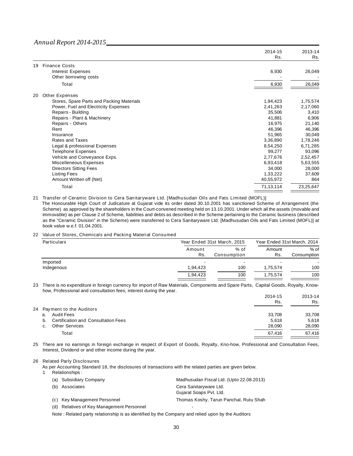|    |                                           | 2014-15   | 2013-14   |
|----|-------------------------------------------|-----------|-----------|
|    |                                           | Rs.       | Rs.       |
| 19 | <b>Finance Costs</b>                      |           |           |
|    | <b>Interest Expenses</b>                  | 6,930     | 26,049    |
|    | Other borrowing costs                     |           |           |
|    | Total                                     | 6,930     | 26,049    |
| 20 | <b>Other Expenses</b>                     |           |           |
|    | Stores, Spare Parts and Packing Materials | 1,94,423  | 1,75,574  |
|    | Power, Fuel and Electricity Expenses      | 2,41,263  | 2,17,060  |
|    | Repairs - Building                        | 35,506    | 3,410     |
|    | Repairs - Plant & Machinery               | 41,881    | 6,906     |
|    | Repairs - Others                          | 16,975    | 21,140    |
|    | Rent                                      | 46,396    | 46,396    |
|    | Insurance                                 | 51,965    | 30,049    |
|    | Rates and Taxes                           | 3,36,890  | 1,78,246  |
|    | Legal & professional Expenses             | 8,54,250  | 6,71,285  |
|    | <b>Telephone Expenses</b>                 | 99,277    | 93,096    |
|    | Vehicle and Conveyance Exps.              | 2,77,676  | 2,52,457  |
|    | Miscelleneous Expenses                    | 6,93,418  | 5,63,555  |
|    | <b>Directors Sitting Fees</b>             | 34,000    | 28,000    |
|    | <b>Listing Fees</b>                       | 1,33,222  | 37,609    |
|    | Amount Written off (Net)                  | 40,55,972 | 864       |
|    | Total                                     | 71,13,114 | 23,25,647 |

#### 21 **Transfer of Ceramic Division to Cera Sanitaryware Ltd. [Madhusudan Oils and Fats Limited (MOFL)]**

The Honourable High Court of Judicature at Gujarat vide its order dated 30.10.2001 has sanctioned Scheme of Arrangement (the Scheme) as approved by the shareholders in the Court-convened meeting held on 13.10.2001. Under which all the assets (movable and immovable) as per Clause 2 of Scheme, liabilities and debts as described in the Scheme pertaining to the Ceramic business (described as the "Ceramic Division" in the Scheme) were transferred to Cera Sanitaryware Ltd. [Madhusudan Oils and Fats Limited (MOFL)] at book value w.e.f. 01.04.2001.

#### 22 **Value of Stores, Chemicals and Packing Material Consumed**

| <b>Particulars</b> |               | Year Ended 31st March, 2015  |               | Year Ended 31st March, 2014 |
|--------------------|---------------|------------------------------|---------------|-----------------------------|
|                    | Amount<br>Rs. | $%$ of<br><b>Consumption</b> | Amount<br>Rs. | % of<br>Consumption         |
| Imported           | -             |                              | -             |                             |
| Indegenous         | 1,94,423      | 100                          | 1.75.574      | 100                         |
|                    | 1,94,423      | 100                          | 1,75,574      | 100                         |

23 There is no expenditure in foreign currency for import of Raw Materials, Components and Spare Parts, Capital Goods, Royalty, Knowhow, Professional and consultation fees, interest during the year.

|                |                                            | 2014-15<br>Rs. | 2013-14<br>Rs. |
|----------------|--------------------------------------------|----------------|----------------|
|                | 24 Payment to the Auditors                 |                |                |
| a.             | <b>Audit Fees</b>                          | 33.708         | 33,708         |
| b.             | <b>Certification and Consultation Fees</b> | 5,618          | 5,618          |
| C <sub>1</sub> | <b>Other Services</b>                      | 28.090         | 28,090         |
|                | <b>Total</b>                               | 67.416         | 67,416         |
|                |                                            |                |                |

25 There are no earnings in foreign exchange in respect of Export of Goods, Royalty, Kno-how, Professional and Consultation Fees, Interest, Dividend or and other income during the year.

#### 26 **Related Parly Disclosures**

As per Accounting Standard 18, the disclosures of transactions with the related parties are given below.

1 Relationships : (a) Subsidiary Company Madhusudan Fiscal Ltd. (Upto 22.08.2013) (b) Associates **Cera Sanitaryware Ltd.** Gujarat Soaps Pvt. Ltd. (c) Key Management Personnel Thomas Koshy, Tarun Panchal, Rutu Shah (d) Relatives of Key Management Personnel

Note : Related party relationship is as identified by the Company and relied upon by the Auditors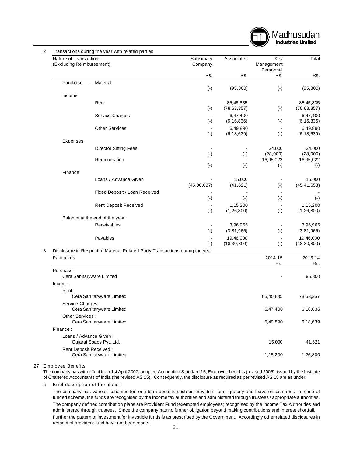

| Nature of Transactions<br>(Excluding Reimbursement) |                                                                              | Subsidiary<br>Company | Associates                 | Key<br>Management<br>Personnel | Total                      |
|-----------------------------------------------------|------------------------------------------------------------------------------|-----------------------|----------------------------|--------------------------------|----------------------------|
|                                                     |                                                                              | Rs.                   | Rs.                        | Rs.                            | Rs.                        |
| Purchase                                            | - Material                                                                   |                       |                            | $\blacksquare$                 |                            |
| Income                                              |                                                                              | $(\cdot)$             | (95, 300)                  | $(\cdot)$                      | (95, 300)                  |
|                                                     |                                                                              |                       |                            |                                |                            |
|                                                     | Rent                                                                         | $(-)$                 | 85,45,835<br>(78, 63, 357) | $(\cdot)$                      | 85,45,835<br>(78, 63, 357) |
|                                                     | Service Charges                                                              |                       | 6,47,400                   |                                | 6,47,400                   |
|                                                     |                                                                              | $(-)$                 | (6, 16, 836)               | $(\cdot)$                      | (6, 16, 836)               |
|                                                     | <b>Other Services</b>                                                        |                       | 6,49,890                   |                                | 6,49,890                   |
|                                                     |                                                                              | $(-)$                 | (6, 18, 639)               | $(\cdot)$                      | (6, 18, 639)               |
| Expenses                                            |                                                                              |                       |                            |                                |                            |
|                                                     | <b>Director Sitting Fees</b>                                                 |                       |                            | 34,000                         | 34,000                     |
|                                                     |                                                                              | $(-)$                 | $(\cdot)$                  | (28,000)                       | (28,000)                   |
|                                                     | Remuneration                                                                 |                       |                            | 16,95,022                      | 16,95,022                  |
|                                                     |                                                                              | $(-)$                 | $(\cdot)$                  | $(\cdot)$                      | $(\cdot)$                  |
| Finance                                             |                                                                              |                       |                            |                                |                            |
|                                                     | Loans / Advance Given                                                        |                       | 15,000                     |                                | 15,000                     |
|                                                     |                                                                              | (45,00,037)           | (41, 621)                  | $(\cdot)$                      | (45, 41, 658)              |
|                                                     | Fixed Deposit / Loan Received                                                |                       |                            |                                |                            |
|                                                     |                                                                              | $(\cdot)$             | $(\cdot)$                  | $(\cdot)$                      | $(\cdot)$                  |
|                                                     | <b>Rent Deposit Received</b>                                                 |                       | 1,15,200                   |                                | 1,15,200                   |
|                                                     |                                                                              | $(-)$                 | (1, 26, 800)               | $(\cdot)$                      | (1, 26, 800)               |
|                                                     | Balance at the end of the year                                               |                       |                            |                                |                            |
|                                                     | Receivables                                                                  |                       | 3,96,965                   |                                | 3,96,965                   |
|                                                     |                                                                              | $(\cdot)$             | (3,81,965)                 | $(\cdot)$                      | (3,81,965)                 |
|                                                     | Payables                                                                     | $(-)$                 | 19,46,000<br>(18, 30, 800) | $(-)$                          | 19,46,000                  |
|                                                     | Disclosure in Respect of Material Related Party Transactions during the year |                       |                            |                                | (18, 30, 800)              |
| Particulars                                         |                                                                              |                       |                            | 2014-15                        | 2013-14                    |
|                                                     |                                                                              |                       |                            | Rs.                            | Rs.                        |
| Purchase:                                           |                                                                              |                       |                            |                                |                            |
|                                                     | Cera Sanitaryware Limited                                                    |                       |                            |                                | 95,300                     |
| Income:                                             |                                                                              |                       |                            |                                |                            |
| Rent:                                               |                                                                              |                       |                            |                                |                            |
|                                                     | Cera Sanitaryware Limited                                                    |                       |                            | 85,45,835                      | 78,63,357                  |
| Service Charges :                                   | Cera Sanitaryware Limited                                                    |                       |                            | 6,47,400                       | 6,16,836                   |
| Other Services:                                     | Cera Sanitaryware Limited                                                    |                       |                            | 6,49,890                       | 6,18,639                   |
| Finance:                                            |                                                                              |                       |                            |                                |                            |
|                                                     | Loans / Advance Given:<br>Gujarat Soaps Pvt. Ltd.                            |                       |                            | 15,000                         | 41,621                     |
|                                                     | Rent Deposit Received:<br>Cera Sanitaryware Limited                          |                       |                            | 1,15,200                       | 1,26,800                   |

#### 27 **Employee Benefits**

The company has with effect from 1st April 2007, adopted Accounting Standard 15, Employee benefits (revised 2005), issued by the Institute of Chartered Accountants of India (the revised AS 15). Consequently, the disclosure as required as per revised AS 15 are as under:

#### **a Brief description of the plans :**

The company has various schemes for long-term benefits such as provident fund, gratuity and leave encashment. In case of funded scheme, the funds are recognised by the income tax authorities and administered through trustees / appropriate authorities. The company defined contribution plans are Provident Fund (exempted employees) recognised by the Income Tax Authorities and administered through trustees. Since the company has no further obligation beyond making contributions and interest shortfall.

Further the pattern of investment for investible funds is as prescribed by the Government. Accordingly other related disclosures in respect of provident fund have not been made.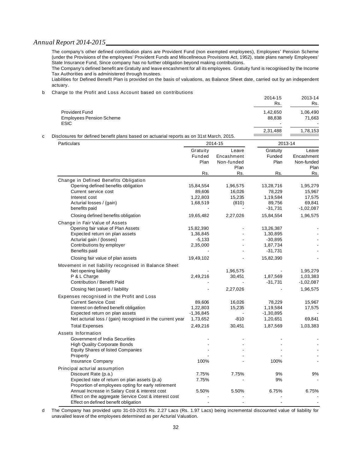The company's other defined contribution plans are Provident Fund (non exempted employees), Employees' Pension Scheme (under the Provisions of the employees' Provident Funds and Miscellneous Provisions Act, 1952), state plans namely Employees' State Insurance Fund, Since company has no further obligation beyond making contributions.

The Company's defined benefit are Gratuity and leave encashment for all its employees. Gratuity fund is recognised by the Income Tax Authorities and is administered through trustees.

Liabilities for Defined Benefit Plan is provided on the basis of valuations, as Balance Sheet date, carried out by an independent actuary.

#### **b Charge to the Profit and Loss Account based on contributions**

|   |                                                                                                                                                                                                                    |                                               |                                                  | 2014-15<br>Rs.                                              | 2013-14<br>Rs.                                        |
|---|--------------------------------------------------------------------------------------------------------------------------------------------------------------------------------------------------------------------|-----------------------------------------------|--------------------------------------------------|-------------------------------------------------------------|-------------------------------------------------------|
|   | <b>Provident Fund</b><br><b>Employees Pension Scheme</b><br><b>ESIC</b>                                                                                                                                            |                                               |                                                  | 1,42,650<br>88,838                                          | 1,06,490<br>71,663                                    |
|   |                                                                                                                                                                                                                    |                                               |                                                  | 2,31,488                                                    | 1,78,153                                              |
| c | Disclosures for defined benefit plans based on actuarial reports as on 31st March, 2015.                                                                                                                           |                                               |                                                  |                                                             |                                                       |
|   | Particulars                                                                                                                                                                                                        |                                               | 2014-15                                          | 2013-14                                                     |                                                       |
|   |                                                                                                                                                                                                                    | Gratuity<br><b>Funded</b><br>Plan             | Leave<br><b>Encashment</b><br>Non-funded<br>Plan | Gratuity<br>Funded<br>Plan                                  | Leave<br>Encashment<br>Non-funded<br>Plan             |
|   |                                                                                                                                                                                                                    | Rs.                                           | Rs.                                              | Rs.                                                         | Rs.                                                   |
|   | <b>Change in Defined Benefits Obligation</b><br>Opening defined benefits obligation<br>Current service cost<br>Interest cost<br>Acturial losses / (gain)<br>benefits paid                                          | 15,84,554<br>89,606<br>1,22,803<br>1,68,519   | 1,96,575<br>16,026<br>15,235<br>(810)            | 13,28,716<br>78,229<br>1,19,584<br>89,756<br>$-31,731$      | 1,95,279<br>15,967<br>17,575<br>69,841<br>$-1,02,087$ |
|   | Closing defined benefits obligation                                                                                                                                                                                | 19,65,482                                     | 2,27,026                                         | 15,84,554                                                   | 1,96,575                                              |
|   | <b>Change in Fair Value of Assets</b><br>Opening fair value of Plan Assets<br>Expected return on plan assets<br>Acturial gain / (losses)<br>Contributions by employer<br>Benefits paid                             | 15,82,390<br>1,36,845<br>$-5,133$<br>2,35,000 |                                                  | 13,26,387<br>1,30,895<br>$-30,895$<br>1,87,734<br>$-31,731$ |                                                       |
|   | Closing fair value of plan assets                                                                                                                                                                                  | 19,49,102                                     |                                                  | 15,82,390                                                   |                                                       |
|   | Movement in net liability recognised in Balance Sheet<br>Net opening liability<br>P & L Charge<br>Contribution / Benefit Paid                                                                                      | 2,49,216                                      | 1,96,575<br>30,451                               | 1,87,569<br>$-31,731$                                       | 1,95,279<br>1,03,383<br>$-1,02,087$                   |
|   | Closing Net (asset) / liability                                                                                                                                                                                    |                                               | 2,27,026                                         |                                                             | 1,96,575                                              |
|   | Expenses recognised in the Profit and Loss<br><b>Current Service Cost</b><br>Interest on defined benefit obligation<br>Expected return on plan assets<br>Net acturial loss / (gain) recognised in the current year | 89,606<br>1,22,803<br>$-1,36,845$<br>1,73,652 | 16,026<br>15,235<br>$-810$                       | 78,229<br>1,19,584<br>$-1,30,895$<br>1,20,651               | 15,967<br>17,575<br>69,841                            |
|   | <b>Total Expenses</b>                                                                                                                                                                                              | 2,49,216                                      | 30,451                                           | 1,87,569                                                    | 1,03,383                                              |
|   | <b>Assets Information</b><br>Government of India Securities<br><b>High Quality Corporate Bonds</b><br><b>Equity Shares of listed Companies</b><br>Property<br>Insurance Company                                    | 100%                                          |                                                  | 100%                                                        |                                                       |
|   | Principal acturial assumption<br>Discount Rate (p.a.)<br>Expected rate of return on plan assets (p.a)<br>Proportion of employees opting for early retirement                                                       | 7.75%<br>7.75%                                | 7.75%                                            | 9%<br>9%                                                    | 9%                                                    |
|   | Annual Increase in Salary Cost & interest cost<br>Effect on the aggregate Service Cost & interest cost<br>Effect on defined benefit obligation                                                                     | 5.50%                                         | 5.50%                                            | 6.75%                                                       | 6.75%                                                 |

**d** The Company has provided upto 31-03-2015 Rs. 2.27 Lacs (Rs. 1.97 Lacs) being incremental discounted value of liability for unavailed leave of the employees determined as per Acturial Valuation.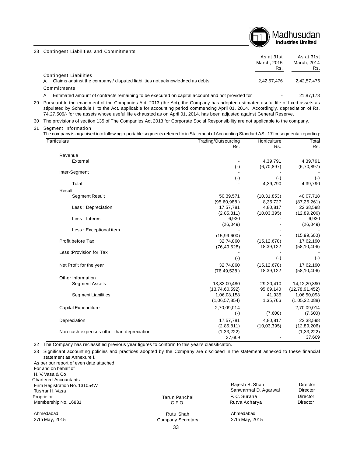#### 28 **Contingent Liabilities and Commitments**

|                               | <b>Contingent Liabilities and Commitments</b>                               |                    |                    |
|-------------------------------|-----------------------------------------------------------------------------|--------------------|--------------------|
|                               |                                                                             | As at 31st         | As at 31st         |
|                               |                                                                             | <b>March, 2015</b> | <b>March, 2014</b> |
|                               |                                                                             | Rs.                | Rs.                |
| <b>Contingent Liabilities</b> |                                                                             |                    |                    |
| A                             | Claims against the company / disputed liabilities not acknowledged as debts | 2.42.57.476        | 2.42.57.476        |
| <b>Commitments</b>            |                                                                             |                    |                    |

A Estimated amount of contracts remaining to be executed on capital account and not provided for **Formal 21,87,178** 

29 Pursuant to the enactment of the Companies Act, 2013 (the Act), the Company has adopted estimated useful life of fixed assets as stipulated by Schedule II to the Act, applicable for accounting period commencing April 01, 2014. Accordingly, depreciation of Rs. 74,27,506/- for the assets whose useful life exhausted as on April 01, 2014, has been adjusted against General Reserve.

30 The provisions of section 135 of The Companies Act 2013 for Corporate Social Responsibility are not applicable to the company.

#### **31 Segment Information**

The company is organised into following reportable segments referred to in Statement of Accounting Standard AS - 17 for segmental reporting:

| Particulars                               | Trading/Outsourcing<br>Rs. | Horticulture<br>Rs. | Total<br>Rs.   |
|-------------------------------------------|----------------------------|---------------------|----------------|
| Revenue                                   |                            |                     |                |
| External                                  |                            | 4,39,791            | 4,39,791       |
|                                           | $(\cdot)$                  | (6,70,897)          | (6, 70, 897)   |
| Inter-Segment                             |                            |                     |                |
|                                           | $(-)$                      | $(-)$               | $(\cdot)$      |
| Total                                     |                            | 4,39,790            | 4,39,790       |
| Result                                    |                            |                     |                |
| <b>Segment Result</b>                     | 50,39,571                  | (10, 31, 853)       | 40,07,718      |
|                                           | (95, 60, 988)              | 8,35,727            | (87, 25, 261)  |
| Less: Depreciation                        | 17,57,781                  | 4,80,817            | 22,38,598      |
|                                           | (2, 85, 811)               | (10,03,395)         | (12,89,206)    |
| Less : Interest                           | 6,930                      |                     | 6,930          |
|                                           | (26, 049)                  |                     | (26, 049)      |
| Less: Exceptional item                    |                            |                     |                |
|                                           | (15, 99, 600)              |                     | (15,99,600)    |
| Profit before Tax                         | 32,74,860                  | (15, 12, 670)       | 17,62,190      |
|                                           | (76, 49, 528)              | 18,39,122           | (58, 10, 406)  |
| Less: Provision for Tax                   |                            |                     |                |
|                                           | $(\cdot)$                  | $(\cdot)$           | $(\cdot)$      |
| Net Profit for the year                   | 32,74,860                  | (15, 12, 670)       | 17,62,190      |
|                                           | (76, 49, 528)              | 18,39,122           | (58, 10, 406)  |
| Other Information                         |                            |                     |                |
| <b>Segment Assets</b>                     | 13,83,00,480               | 29,20,410           | 14,12,20,890   |
|                                           | (13, 74, 60, 592)          | 95,69,140           | (12,78,91,452) |
| <b>Segment Liabilities</b>                | 1,06,08,158                | 41,935              | 1,06,50,093    |
|                                           | (1,06,57,854)              | 1,35,766            | (1,05,22,088)  |
| <b>Capital Expenditure</b>                | 2,70,09,014                |                     | 2,70,09,014    |
|                                           | $(-)$                      | (7,600)             | (7,600)        |
| Depreciation                              | 17,57,781                  | 4,80,817            | 22,38,598      |
|                                           | (2,85,811)                 | (10,03,395)         | (12, 89, 206)  |
| Non-cash expenses other than depreciation | (1, 33, 222)               |                     | (1, 33, 222)   |
|                                           | 37,609                     |                     | 37,609         |

32 The Company has reclassified previous year figures to conform to this year's classificaton.

33 Significant accounting policies and practices adopted by the Company are disclosed in the statement annexed to these financial statement as Annexure I.

As per our report of even date attached For and on behalf of Chartered Accountants **H. V. Vasa & Co.** Firm Registration No. 131054W Proprietor **Tushar H. Vasa** Membership No. 16831

Ahmedabad 27th May, 2015

C.F.O. **Tarun Panchal**

**33** Company Secretary **Rutu Shah**

| Rajesh B. Shah       | Director |
|----------------------|----------|
| Sanwarmal D. Agarwal | Director |
| P. C. Surana         | Director |
| Rutva Acharya        | Director |
|                      |          |

Ahmedabad 27th May, 2015

**Madhusudan Industries Limited**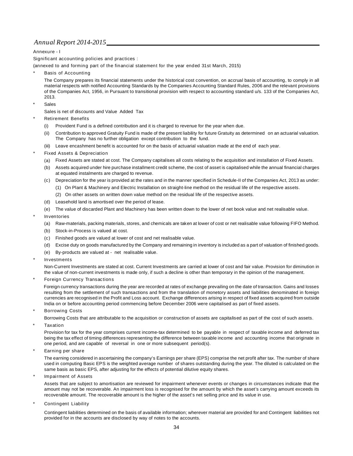### **Annexure - I**

#### **Significant accounting policies and practices :**

#### **(annexed to and forming part of the financial statement for the year ended 31st March, 2015)**

#### **\* Basis of Accounting**

The Company prepares its financial statements under the historical cost convention, on accrual basis of accounting, to comply in all material respects with notified Accounting Standards by the Companies Accounting Standard Rules, 2006 and the relevant provisions of the Companies Act, 1956, in Pursuant to transitional provision with respect to accounting standard u/s. 133 of the Companies Act, 2013.

#### **\* Sales**

Sales is net of discounts and Value Added Tax

#### **\* Retirement Benefits**

- (i) Provident Fund is a defined contribution and it is charged to revenue for the year when due.
- (ii) Contribution to approved Gratuity Fund is made of the present liability for future Gratuity as determined on an actuarial valuation. The Company has no further obligation except contribution to the fund.
- (iii) Leave encashment benefit is accounted for on the basis of actuarial valuation made at the end of each year.

#### **\* Fixed Assets & Depreciation**

- (a) Fixed Assets are stated at cost. The Company capitalises all costs relating to the acquisition and installation of Fixed Assets.
- (b) Assets acquired under hire purchase installment credit scheme, the cost of asset is capitalised while the annual financial charges at equated instalments are charged to revenue.
- (c) Depreciation for the year is provided at the rates and in the manner specified in Schedule-II of the Companies Act, 2013 as under:
	- (1) On Plant & Machinery and Electric Installation on straight-line method on the residual life of the respective assets.
		- (2) On other assets on written down value method on the residual life of the respective assets.
- (d) Leasehold land is amortised over the period of lease.
- (e) The value of discarded Plant and Machinery has been written down to the lower of net book value and net realisable value.

#### **\* Inventories**

- (a) Raw-materials, packing materials, stores, and chemicals are taken at lower of cost or net realisable value following FIFO Method.
- (b) Stock-in-Process is valued at cost.
- (c) Finished goods are valued at lower of cost and net realisable value.
- (d) Excise duty on goods manufactured by the Company and remaining in inventory is included as a part of valuation of finished goods.
- (e) By-products are valued at net realisable value.

#### **\* Investments**

Non-Current Investments are stated at cost. Current Investments are carried at lower of cost and fair value. Provision for diminution in the value of non-current investments is made only, if such a decline is other than temporary in the opinion of the management.

#### **\* Foreign Currency Transactions**

Foreign currency transactions during the year are recorded at rates of exchange prevailing on the date of transaction. Gains and losses resulting from the settlement of such transactions and from the translation of monetory assets and liabilities denominated in foreign currencies are recognised in the Profit and Loss account. Exchange differences arising in respect of fixed assets acquired from outside India on or before accounting period commencing before December 2006 were capitalised as part of fixed assets.

#### **\* Borrowing Costs**

Borrowing Costs that are attributable to the acquisition or construction of assets are capitalised as part of the cost of such assets.

#### **\* Taxation**

Provision for tax for the year comprises current income-tax determined to be payable in respect of taxable income and deferred tax being the tax effect of timing differences representing the difference between taxable income and accounting income that originate in one period, and are capable of reversal in one or more subsequent period(s).

#### **\* Earning per share**

The earning considered in ascertaining the company's Earnings per share (EPS) comprise the net profit after tax. The number of share used in computing Basic EPS is the weighted average number of shares outstanding during the year. The diluted is calculated on the same basis as basic EPS, after adjusting for the effects of potential dilutive equity shares.

#### **\* Impairment of Assets**

Assets that are subject to amortisation are reviewed for impairment whenever events or changes in circumstances indicate that the amount may not be recoverable. An impairment loss is recognised for the amount by which the asset's carrying amount exceeds its recoverable amount. The recoverable amount is the higher of the asset's net selling price and its value in use.

#### **\* Contingent Liability**

Contingent liabilities determined on the basis of available information; wherever material are provided for and Contingent liabilities not provided for in the accounts are disclosed by way of notes to the accounts.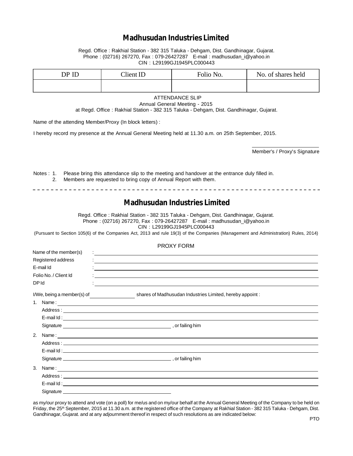# **Madhusudan Industries Limited**

Regd. Office : Rakhial Station - 382 315 Taluka - Dehgam, Dist. Gandhinagar, Gujarat. Phone : (02716) 267270, Fax : 079-26427287 E-mail : madhusudan\_i@yahoo.in CIN : L29199GJ1945PLC000443

| DP ID | Client ID | Folio No. | No. of shares held |
|-------|-----------|-----------|--------------------|
|       |           |           |                    |

# **ATTENDANCE SLIP**

Annual General Meeting - 2015 at Regd. Office : Rakhial Station - 382 315 Taluka - Dehgam, Dist. Gandhinagar, Gujarat.

Name of the attending Member/Proxy (In block letters) :

I hereby record my presence at the Annual General Meeting held at 11.30 a.m. on 25th September, 2015.

Member's / Proxy's Signature

Notes : 1. Please bring this attendance slip to the meeting and handover at the entrance duly filled in. 2. Members are requested to bring copy of Annual Report with them.

# **Madhusudan Industries Limited**

Regd. Office : Rakhial Station - 382 315 Taluka - Dehgam, Dist. Gandhinagar, Gujarat. Phone : (02716) 267270, Fax : 079-26427287 E-mail : madhusudan\_i@yahoo.in

CIN : L29199GJ1945PLC000443

(Pursuant to Section 105(6) of the Companies Act, 2013 and rule 19(3) of the Companies (Management and Administration) Rules, 2014)

| Name of the member(s)                                |                                                                                                                                                                                                                                |
|------------------------------------------------------|--------------------------------------------------------------------------------------------------------------------------------------------------------------------------------------------------------------------------------|
| Registered address                                   |                                                                                                                                                                                                                                |
| E-mail Id                                            |                                                                                                                                                                                                                                |
| Folio No. / Client Id                                |                                                                                                                                                                                                                                |
| DP Id                                                |                                                                                                                                                                                                                                |
| $I/We$ , being a member(s) of $\qquad \qquad \qquad$ | shares of Madhusudan Industries Limited, hereby appoint:                                                                                                                                                                       |
|                                                      | 1. Name: 2008. 2009. 2009. 2009. 2009. 2009. 2009. 2009. 2009. 2009. 2009. 2009. 2009. 2009. 2009. 2009. 2009. 2009. 2009. 2009. 2009. 2009. 2009. 2009. 2009. 2009. 2009. 2009. 2009. 2009. 2009. 2009. 2009. 2009. 2009. 200 |
|                                                      | Address: <u>Communication</u>                                                                                                                                                                                                  |
|                                                      | E-mail Id: <u>Alexander Alexander Alexander Alexander Alexander Alexander Alexander Alexander Alexander Alexander</u>                                                                                                          |
|                                                      |                                                                                                                                                                                                                                |
| 2.                                                   | Name: Name and the second contract of the second contract of the second contract of the second contract of the second contract of the second contract of the second contract of the second contract of the second contract of  |
|                                                      | Address: 2008 - 2008 - 2008 - 2008 - 2019 - 2019 - 2019 - 2019 - 2019 - 2019 - 2019 - 2019 - 2019 - 2019 - 201                                                                                                                 |
|                                                      |                                                                                                                                                                                                                                |
|                                                      |                                                                                                                                                                                                                                |
| 3 <sub>1</sub>                                       | Name:                                                                                                                                                                                                                          |
|                                                      |                                                                                                                                                                                                                                |
|                                                      |                                                                                                                                                                                                                                |
| Signature                                            |                                                                                                                                                                                                                                |

as my/our proxy to attend and vote (on a poll) for me/us and on my/our behalf at the Annual General Meeting of the Company to be held on Friday, the 25<sup>th</sup> September, 2015 at 11.30 a.m. at the registered office of the Company at Rakhial Station - 382 315 Taluka - Dehgam, Dist. Gandhinagar, Gujarat. and at any adjournment thereof in respect of such resolutions as are indicated below:

# **PROXY FORM**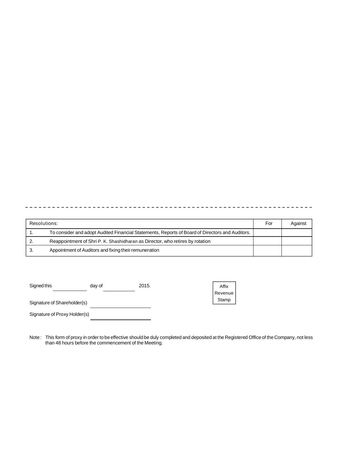| <b>Resolutions:</b> |                                                                                                 | For | Against |
|---------------------|-------------------------------------------------------------------------------------------------|-----|---------|
|                     | To consider and adopt Audited Financial Statements, Reports of Board of Directors and Auditors. |     |         |
| 2.                  | Reappointment of Shri P. K. Shashidharan as Director, who retires by rotation                   |     |         |
|                     | Appointment of Auditors and fixing their remuneration                                           |     |         |

Signed this day of 2015. Signature of Shareholder(s)

Signature of Proxy Holder(s)

Affix Revenue Stamp

Note : This form of proxy in order to be effective should be duly completed and deposited at the Registered Office of the Company, not less than 48 hours before the commencement of the Meeting.